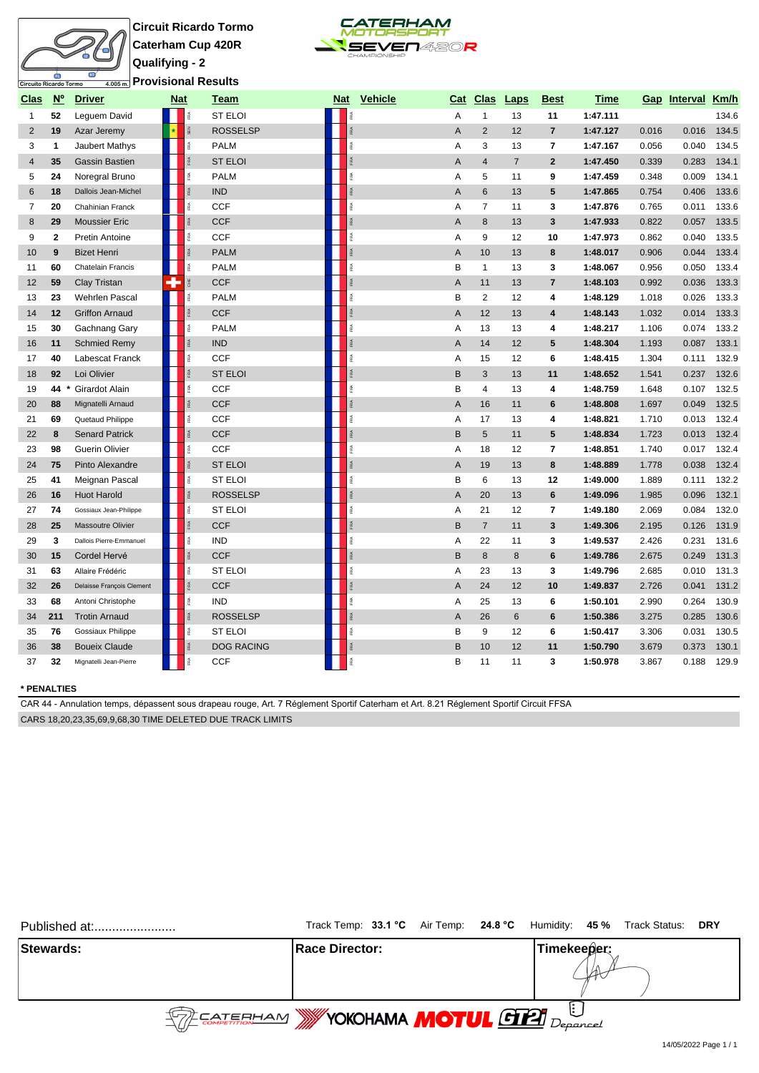# ه<br>uito Ricardo Tormo<mark>:</mark>

**Circuit Ricardo Tormo Caterham Cup 420R Qualifying - 2 Provisional Results**



| <u>Clas</u>             | $N^{\circ}$  | <b>Driver</b>             | <b>Nat</b> |           | Team              | Nat        | Vehicle | Cat | <b>Clas</b>     | <b>Laps</b>    | <b>Best</b>             | Time     |       | Gap Interval Km/h |       |
|-------------------------|--------------|---------------------------|------------|-----------|-------------------|------------|---------|-----|-----------------|----------------|-------------------------|----------|-------|-------------------|-------|
| 1                       | 52           | Leguem David              |            |           | <b>ST ELOI</b>    | ě          |         | A   | $\mathbf{1}$    | 13             | 11                      | 1:47.111 |       |                   | 134.6 |
| 2                       | 19           | Azar Jeremy               |            | SEN       | <b>ROSSELSP</b>   | RÁ         |         | A   | 2               | 12             | $\overline{7}$          | 1:47.127 | 0.016 | 0.016             | 134.5 |
| 3                       | 1            | Jaubert Mathys            |            | FRA       | <b>PALM</b>       | FRA        |         | A   | 3               | 13             | $\overline{7}$          | 1:47.167 | 0.056 | 0.040             | 134.5 |
| $\overline{\mathbf{4}}$ | 35           | <b>Gassin Bastien</b>     |            | RA.       | <b>ST ELOI</b>    | <b>RA</b>  |         | A   | $\overline{4}$  | $\overline{7}$ | $\overline{2}$          | 1:47.450 | 0.339 | 0.283             | 134.1 |
| 5                       | 24           | Noregral Bruno            |            | ě         | <b>PALM</b>       | FRA        |         | A   | 5               | 11             | 9                       | 1:47.459 | 0.348 | 0.009             | 134.1 |
| 6                       | 18           | Dallois Jean-Michel       |            | i.        | <b>IND</b>        | FØ.        |         | Α   | 6               | 13             | 5                       | 1:47.865 | 0.754 | 0.406             | 133.6 |
| 7                       | 20           | Chahinian Franck          |            | é         | <b>CCF</b>        | FRA        |         | Α   | $\overline{7}$  | 11             | 3                       | 1:47.876 | 0.765 | 0.011             | 133.6 |
| 8                       | 29           | <b>Moussier Eric</b>      |            | Ř         | <b>CCF</b>        | FRA        |         | A   | 8               | 13             | 3                       | 1:47.933 | 0.822 | 0.057             | 133.5 |
| 9                       | $\mathbf{2}$ | Pretin Antoine            |            | ě         | CCF               | īRA        |         | Α   | 9               | 12             | 10                      | 1:47.973 | 0.862 | 0.040             | 133.5 |
| 10                      | 9            | <b>Bizet Henri</b>        |            | <b>RA</b> | <b>PALM</b>       | FRA        |         | A   | 10              | 13             | 8                       | 1:48.017 | 0.906 | 0.044             | 133.4 |
| 11                      | 60           | Chatelain Francis         |            | é         | <b>PALM</b>       | é          |         | B   | $\mathbf{1}$    | 13             | 3                       | 1:48.067 | 0.956 | 0.050             | 133.4 |
| 12                      | 59           | <b>Clay Tristan</b>       | 4          | E         | <b>CCF</b>        | <b>FRA</b> |         | A   | 11              | 13             | $\overline{7}$          | 1:48.103 | 0.992 | 0.036             | 133.3 |
| 13                      | 23           | Wehrlen Pascal            |            | ě         | <b>PALM</b>       | FRA        |         | B   | $\sqrt{2}$      | 12             | 4                       | 1:48.129 | 1.018 | 0.026             | 133.3 |
| 14                      | 12           | <b>Griffon Arnaud</b>     |            | Ř         | <b>CCF</b>        | RÁ         |         | A   | 12              | 13             | 4                       | 1:48.143 | 1.032 | 0.014             | 133.3 |
| 15                      | 30           | Gachnang Gary             |            | Ŗ.        | <b>PALM</b>       | ß.         |         | Α   | 13              | 13             | 4                       | 1:48.217 | 1.106 | 0.074             | 133.2 |
| 16                      | 11           | <b>Schmied Remy</b>       |            | RA.       | <b>IND</b>        | <b>FRA</b> |         | A   | 14              | 12             | 5                       | 1:48.304 | 1.193 | 0.087             | 133.1 |
| 17                      | 40           | Labescat Franck           |            | î.        | <b>CCF</b>        | FRA        |         | A   | 15              | 12             | 6                       | 1:48.415 | 1.304 | 0.111             | 132.9 |
| 18                      | 92           | Loi Olivier               |            | <b>RA</b> | <b>ST ELOI</b>    | FRA        |         | B   | 3               | 13             | 11                      | 1:48.652 | 1.541 | 0.237             | 132.6 |
| 19                      | 44           | Girardot Alain            |            | ě         | <b>CCF</b>        | FRA        |         | B   | 4               | 13             | 4                       | 1:48.759 | 1.648 | 0.107             | 132.5 |
| 20                      | 88           | Mignatelli Arnaud         |            | RA.       | <b>CCF</b>        | FRA        |         | A   | 16              | 11             | 6                       | 1:48.808 | 1.697 | 0.049             | 132.5 |
| 21                      | 69           | Quetaud Philippe          |            | ě         | <b>CCF</b>        | FRA        |         | A   | 17              | 13             | 4                       | 1:48.821 | 1.710 | 0.013             | 132.4 |
| 22                      | 8            | <b>Senard Patrick</b>     |            |           | <b>CCF</b>        | FRA        |         | B   | $5\phantom{.0}$ | 11             | 5                       | 1:48.834 | 1.723 | 0.013             | 132.4 |
| 23                      | 98           | Guerin Olivier            |            | é         | <b>CCF</b>        | ß.         |         | A   | 18              | 12             | $\overline{7}$          | 1:48.851 | 1.740 | 0.017             | 132.4 |
| 24                      | 75           | Pinto Alexandre           |            | 臣         | <b>ST ELOI</b>    | iRA.       |         | A   | 19              | 13             | 8                       | 1:48.889 | 1.778 | 0.038             | 132.4 |
| 25                      | 41           | Meignan Pascal            |            | Ř         | <b>ST ELOI</b>    | īRA        |         | В   | 6               | 13             | 12                      | 1:49.000 | 1.889 | 0.111             | 132.2 |
| 26                      | 16           | <b>Huot Harold</b>        |            | RA.       | <b>ROSSELSP</b>   | FRA        |         | A   | 20              | 13             | 6                       | 1:49.096 | 1.985 | 0.096             | 132.1 |
| 27                      | 74           | Gossiaux Jean-Philippe    |            | 歪         | <b>ST ELOI</b>    | é          |         | Α   | 21              | 12             | $\overline{\mathbf{r}}$ | 1:49.180 | 2.069 | 0.084             | 132.0 |
| 28                      | 25           | <b>Massoutre Olivier</b>  |            | 臣         | <b>CCF</b>        |            |         | B   | $\overline{7}$  | 11             | 3                       | 1:49.306 | 2.195 | 0.126             | 131.9 |
| 29                      | 3            | Dallois Pierre-Emmanuel   |            | îRA.      | <b>IND</b>        |            |         | Α   | 22              | 11             | 3                       | 1:49.537 | 2.426 | 0.231             | 131.6 |
| 30                      | 15           | Cordel Hervé              |            | Ř         | <b>CCF</b>        |            |         | B   | 8               | 8              | 6                       | 1:49.786 | 2.675 | 0.249             | 131.3 |
| 31                      | 63           | Allaire Frédéric          |            | 歪         | <b>ST ELOI</b>    | Ř          |         | A   | 23              | 13             | 3                       | 1:49.796 | 2.685 | 0.010             | 131.3 |
| 32                      | 26           | Delaisse François Clement |            | ß.        | <b>CCF</b>        |            |         | Α   | 24              | 12             | 10                      | 1:49.837 | 2.726 | 0.041             | 131.2 |
| 33                      | 68           | Antoni Christophe         |            | FRA       | <b>IND</b>        |            |         | Α   | 25              | 13             | 6                       | 1:50.101 | 2.990 | 0.264             | 130.9 |
| 34                      | 211          | <b>Trotin Arnaud</b>      |            |           | <b>ROSSELSP</b>   |            |         | Α   | 26              | 6              | 6                       | 1:50.386 | 3.275 | 0.285             | 130.6 |
| 35                      | 76           | Gossiaux Philippe         |            |           | <b>ST ELOI</b>    |            |         | B   | 9               | 12             | 6                       | 1:50.417 | 3.306 | 0.031             | 130.5 |
| 36                      | 38           | <b>Boueix Claude</b>      |            |           | <b>DOG RACING</b> |            |         | B   | 10              | 12             | 11                      | 1:50.790 | 3.679 | 0.373             | 130.1 |
| 37                      | 32           | Mignatelli Jean-Pierre    |            |           | <b>CCF</b>        | RÁ         |         | B   | 11              | 11             | 3                       | 1:50.978 | 3.867 | 0.188             | 129.9 |

### **\* PENALTIES**

CAR 44 - Annulation temps, dépassent sous drapeau rouge, Art. 7 Réglement Sportif Caterham et Art. 8.21 Réglement Sportif Circuit FFSA CARS 18,20,23,35,69,9,68,30 TIME DELETED DUE TRACK LIMITS

| Published at:    |                                                   | Track Temp: 33.1 °C Air Temp: 24.8 °C Humidity: 45 % Track Status: DRY |
|------------------|---------------------------------------------------|------------------------------------------------------------------------|
| <b>Stewards:</b> | <b>IRace Director:</b>                            | Timekeeper:                                                            |
|                  | <b>SOF EATERHAM WYOKOHAMA MOTUL GIZI</b> Deparcel |                                                                        |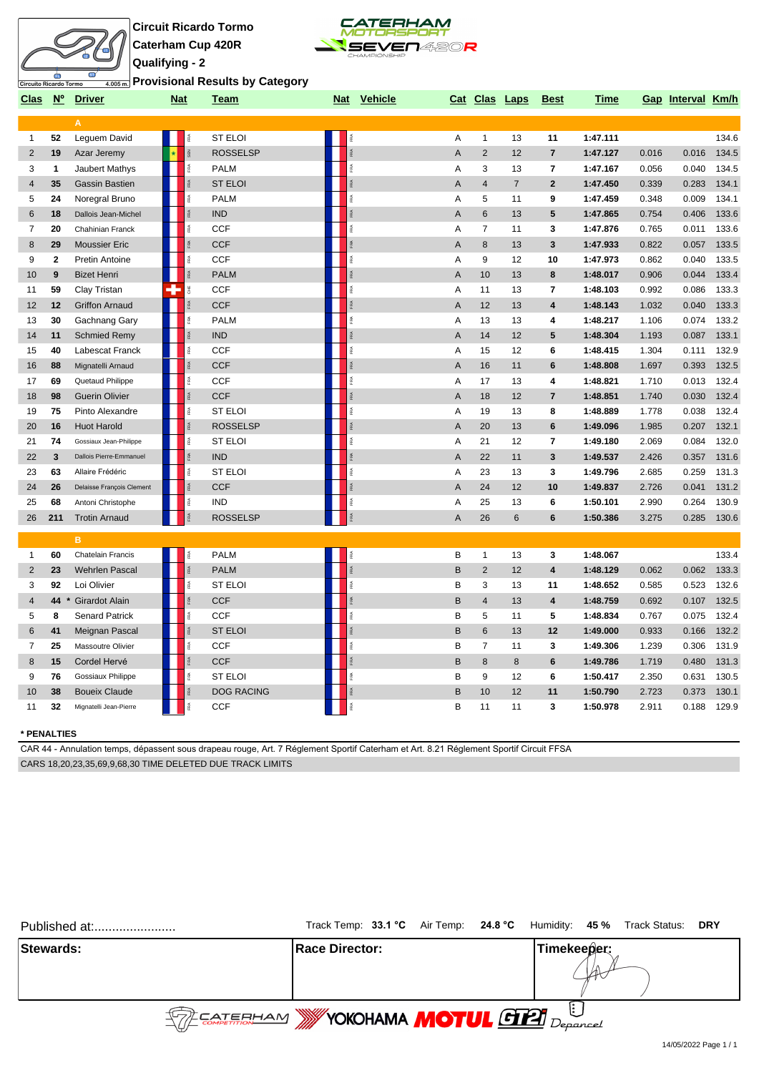



**Provisional Results by Category**

| <u>Clas</u>    |             | N° Driver                 | <u>Nat</u> |                 | <u>Team</u>       |                | Nat Vehicle |                |                 | Cat Clas Laps  | <b>Best</b>             | <u>Time</u> |       | Gap Interval Km/h |       |
|----------------|-------------|---------------------------|------------|-----------------|-------------------|----------------|-------------|----------------|-----------------|----------------|-------------------------|-------------|-------|-------------------|-------|
|                |             | A                         |            |                 |                   |                |             |                |                 |                |                         |             |       |                   |       |
| $\mathbf{1}$   | 52          | Leguem David              |            |                 | ST ELOI           |                |             | Α              | $\mathbf{1}$    | 13             | 11                      | 1:47.111    |       |                   | 134.6 |
| $\overline{2}$ | 19          | Azar Jeremy               |            | š               | <b>ROSSELSP</b>   | FØ.            |             | $\overline{A}$ | $\overline{2}$  | 12             | $\overline{7}$          | 1:47.127    | 0.016 | 0.016             | 134.5 |
| 3              | 1           | Jaubert Mathys            |            | FRA             | <b>PALM</b>       | FRA            |             | Α              | 3               | 13             | $\overline{7}$          | 1:47.167    | 0.056 | 0.040             | 134.5 |
| 4              | 35          | <b>Gassin Bastien</b>     |            | <b>RA</b>       | <b>ST ELOI</b>    | FRA            |             | A              | $\overline{4}$  | $\overline{7}$ | $\overline{2}$          | 1:47.450    | 0.339 | 0.283             | 134.1 |
| 5              | 24          | Noregral Bruno            |            | īRA.            | <b>PALM</b>       | FRA            |             | A              | 5               | 11             | 9                       | 1:47.459    | 0.348 | 0.009             | 134.1 |
| 6              | 18          | Dallois Jean-Michel       |            | ß.              | <b>IND</b>        | iRA.           |             | $\overline{A}$ | 6               | 13             | 5                       | 1:47.865    | 0.754 | 0.406             | 133.6 |
| 7              | 20          | Chahinian Franck          |            | FRA             | <b>CCF</b>        | FRA            |             | Α              | $\overline{7}$  | 11             | 3                       | 1:47.876    | 0.765 | 0.011             | 133.6 |
| 8              | 29          | <b>Moussier Eric</b>      |            | <b>RA</b>       | <b>CCF</b>        | FRA            |             | A              | 8               | 13             | $\mathbf{3}$            | 1:47.933    | 0.822 | 0.057             | 133.5 |
| 9              | $\mathbf 2$ | <b>Pretin Antoine</b>     |            | īRA.            | <b>CCF</b>        | FRA            |             | A              | 9               | 12             | 10                      | 1:47.973    | 0.862 | 0.040             | 133.5 |
| 10             | 9           | <b>Bizet Henri</b>        |            | 泵               | <b>PALM</b>       | $\frac{d}{dt}$ |             | A              | 10              | 13             | 8                       | 1:48.017    | 0.906 | 0.044             | 133.4 |
| 11             | 59          | Clay Tristan              | ÷          |                 | <b>CCF</b>        | FRA            |             | A              | 11              | 13             | $\overline{\mathbf{r}}$ | 1:48.103    | 0.992 | 0.086             | 133.3 |
| 12             | 12          | <b>Griffon Arnaud</b>     |            |                 | <b>CCF</b>        |                |             | $\overline{A}$ | 12              | 13             | 4                       | 1:48.143    | 1.032 | 0.040             | 133.3 |
| 13             | 30          | Gachnang Gary             |            | ě               | <b>PALM</b>       | FRA            |             | A              | 13              | 13             | 4                       | 1:48.217    | 1.106 | 0.074             | 133.2 |
| 14             | 11          | <b>Schmied Remy</b>       |            | 乏               | <b>IND</b>        | FRA            |             | $\overline{A}$ | 14              | 12             | 5                       | 1:48.304    | 1.193 | 0.087             | 133.1 |
| 15             | 40          | Labescat Franck           |            | ß.              | <b>CCF</b>        | ß.             |             | A              | 15              | 12             | 6                       | 1:48.415    | 1.304 | 0.111             | 132.9 |
| 16             | 88          | Mignatelli Arnaud         |            | RA <sub>1</sub> | <b>CCF</b>        | FRA            |             | $\overline{A}$ | 16              | 11             | 6                       | 1:48.808    | 1.697 | 0.393             | 132.5 |
| 17             | 69          | Quetaud Philippe          |            | FRA             | <b>CCF</b>        | FRA            |             | Α              | 17              | 13             | 4                       | 1:48.821    | 1.710 | 0.013             | 132.4 |
| 18             | 98          | Guerin Olivier            |            | FRA             | <b>CCF</b>        | <b>FRA</b>     |             | $\overline{A}$ | 18              | 12             | $\overline{7}$          | 1:48.851    | 1.740 | 0.030             | 132.4 |
| 19             | 75          | Pinto Alexandre           |            | é               | <b>ST ELOI</b>    | ß.             |             | Α              | 19              | 13             | 8                       | 1:48.889    | 1.778 | 0.038             | 132.4 |
| 20             | 16          | <b>Huot Harold</b>        |            | RA.             | <b>ROSSELSP</b>   | FRA            |             | A              | 20              | 13             | 6                       | 1:49.096    | 1.985 | 0.207             | 132.1 |
| 21             | 74          | Gossiaux Jean-Philippe    |            | ě               | <b>ST ELOI</b>    | FRA            |             | A              | 21              | 12             | 7                       | 1:49.180    | 2.069 | 0.084             | 132.0 |
| 22             | 3           | Dallois Pierre-Emmanuel   |            |                 | <b>IND</b>        | RÁ             |             | A              | 22              | 11             | 3                       | 1:49.537    | 2.426 | 0.357             | 131.6 |
| 23             | 63          | Allaire Frédéric          |            | 歪               | <b>ST ELOI</b>    | é              |             | Α              | 23              | 13             | 3                       | 1:49.796    | 2.685 | 0.259             | 131.3 |
| 24             | 26          | Delaisse François Clement |            |                 | <b>CCF</b>        | FRA            |             | $\overline{A}$ | 24              | 12             | 10                      | 1:49.837    | 2.726 | 0.041             | 131.2 |
| 25             | 68          | Antoni Christophe         |            | FRA             | <b>IND</b>        | FRA            |             | Α              | 25              | 13             | 6                       | 1:50.101    | 2.990 | 0.264             | 130.9 |
| 26             | 211         | <b>Trotin Arnaud</b>      |            | FRA             | <b>ROSSELSP</b>   | <b>RA</b>      |             | $\overline{A}$ | 26              | 6              | 6                       | 1:50.386    | 3.275 | 0.285             | 130.6 |
|                |             | B                         |            |                 |                   |                |             |                |                 |                |                         |             |       |                   |       |
| $\mathbf{1}$   | 60          | Chatelain Francis         |            | ě               | <b>PALM</b>       | i.             |             | B              | $\mathbf{1}$    | 13             | 3                       | 1:48.067    |       |                   | 133.4 |
| $\overline{2}$ | 23          | <b>Wehrlen Pascal</b>     |            | <b>RA</b>       | <b>PALM</b>       | FRA            |             | B              | $\overline{2}$  | 12             | 4                       | 1:48.129    | 0.062 | 0.062             | 133.3 |
| 3              | 92          | Loi Olivier               |            | î.              | <b>ST ELOI</b>    | īRA.           |             | B              | 3               | 13             | 11                      | 1:48.652    | 0.585 | 0.523             | 132.6 |
| $\overline{4}$ | 44          | <b>Girardot Alain</b>     |            | Ř               | <b>CCF</b>        | RÁ             |             | B              | $\overline{4}$  | 13             | 4                       | 1:48.759    | 0.692 | 0.107             | 132.5 |
| 5              | 8           | <b>Senard Patrick</b>     |            | Ŗ.              | <b>CCF</b>        | Ř              |             | в              | 5               | 11             | 5                       | 1:48.834    | 0.767 | 0.075             | 132.4 |
| 6              | 41          | Meignan Pascal            |            |                 | <b>ST ELOI</b>    | <b>FRA</b>     |             | $\sf B$        | $6\phantom{1}6$ | 13             | 12                      | 1:49.000    | 0.933 | 0.166             | 132.2 |
| 7              | 25          | Massoutre Olivier         |            | ě               | <b>CCF</b>        | FRA            |             | B              | $\overline{7}$  | 11             | 3                       | 1:49.306    | 1.239 | 0.306             | 131.9 |
| 8              | 15          | Cordel Hervé              |            | <b>RA</b>       | <b>CCF</b>        | FRA            |             | B              | 8               | 8              | 6                       | 1:49.786    | 1.719 | 0.480             | 131.3 |
| 9              | 76          | Gossiaux Philippe         |            | Ŗ.              | <b>ST ELOI</b>    | FRA            |             | B              | 9               | 12             | 6                       | 1:50.417    | 2.350 | 0.631             | 130.5 |
| 10             | 38          | <b>Boueix Claude</b>      |            |                 | <b>DOG RACING</b> | FRA            |             | B              | 10              | 12             | 11                      | 1:50.790    | 2.723 | 0.373             | 130.1 |
| 11             | 32          | Mignatelli Jean-Pierre    |            | ě               | <b>CCF</b>        | îRA.           |             | B              | 11              | 11             | 3                       | 1:50.978    | 2.911 | 0.188             | 129.9 |

#### **\* PENALTIES**

CAR 44 - Annulation temps, dépassent sous drapeau rouge, Art. 7 Réglement Sportif Caterham et Art. 8.21 Réglement Sportif Circuit FFSA CARS 18,20,23,35,69,9,68,30 TIME DELETED DUE TRACK LIMITS

| Published at:    | Track Temp: 33.1 °C Air Temp: 24.8 °C Humidity: 45 % Track Status: DRY                                                                                                                                                                                                                                              |             |  |  |  |  |
|------------------|---------------------------------------------------------------------------------------------------------------------------------------------------------------------------------------------------------------------------------------------------------------------------------------------------------------------|-------------|--|--|--|--|
| <b>Stewards:</b> | <b>IRace Director:</b>                                                                                                                                                                                                                                                                                              | Timekeeper: |  |  |  |  |
|                  | $\frac{1}{2}$ $\frac{1}{2}$ $\frac{1}{2}$ $\frac{1}{2}$ $\frac{1}{2}$ $\frac{1}{2}$ $\frac{1}{2}$ $\frac{1}{2}$ $\frac{1}{2}$ $\frac{1}{2}$ $\frac{1}{2}$ $\frac{1}{2}$ $\frac{1}{2}$ $\frac{1}{2}$ $\frac{1}{2}$ $\frac{1}{2}$ $\frac{1}{2}$ $\frac{1}{2}$ $\frac{1}{2}$ $\frac{1}{2}$ $\frac{1}{2}$ $\frac{1}{2}$ |             |  |  |  |  |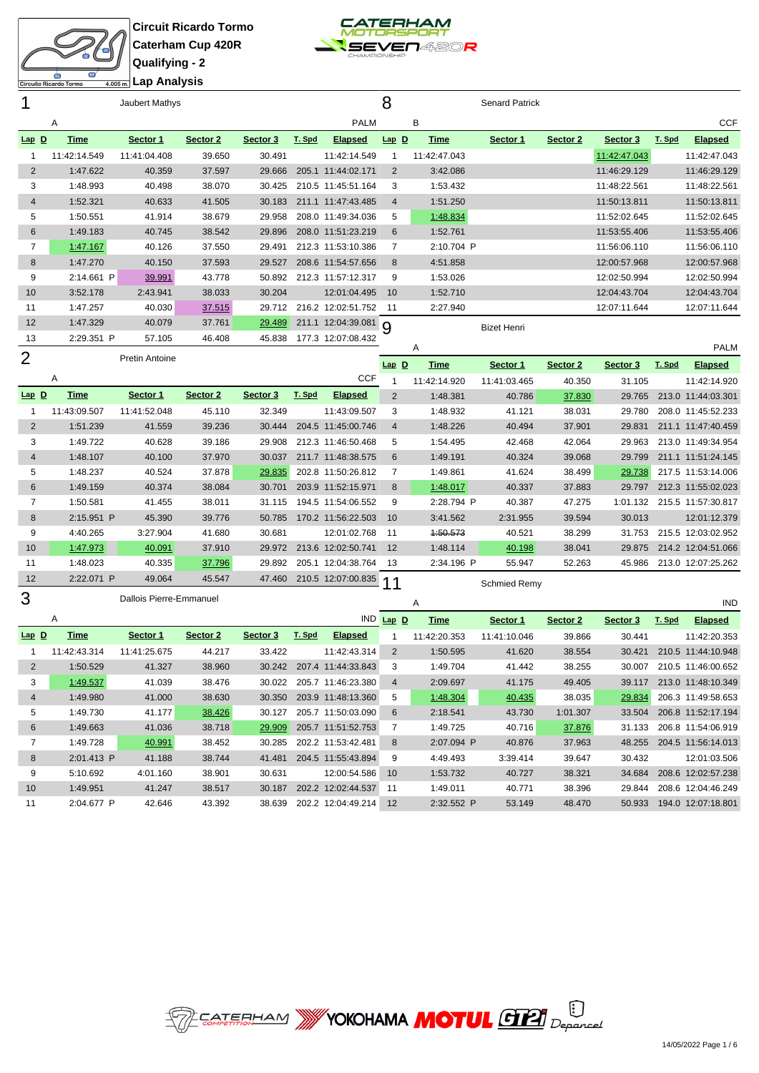



**Lap Analysis**

| 1              |              | Jaubert Mathys |          |          |        |                    | 8              |              | <b>Senard Patrick</b> |          |              |        |                |
|----------------|--------------|----------------|----------|----------|--------|--------------------|----------------|--------------|-----------------------|----------|--------------|--------|----------------|
|                | Α            |                |          |          |        | <b>PALM</b>        |                | В            |                       |          |              |        | <b>CCF</b>     |
| <u>Lap D</u>   | Time         | Sector 1       | Sector 2 | Sector 3 | T. Spd | <b>Elapsed</b>     | $Lap$ $D$      | Time         | Sector 1              | Sector 2 | Sector 3     | T. Spd | <b>Elapsed</b> |
|                | 11:42:14.549 | 11:41:04.408   | 39.650   | 30.491   |        | 11:42:14.549       |                | 11:42:47.043 |                       |          | 11:42:47.043 |        | 11:42:47.043   |
| $\overline{2}$ | 1:47.622     | 40.359         | 37.597   | 29.666   |        | 205.1 11:44:02.171 | 2              | 3:42.086     |                       |          | 11:46:29.129 |        | 11:46:29.129   |
| 3              | 1:48.993     | 40.498         | 38.070   | 30.425   |        | 210.5 11:45:51.164 | 3              | 1:53.432     |                       |          | 11:48:22.561 |        | 11:48:22.561   |
| 4              | 1:52.321     | 40.633         | 41.505   | 30.183   |        | 211.1 11:47:43.485 | $\overline{4}$ | 1:51.250     |                       |          | 11:50:13.811 |        | 11:50:13.811   |
| 5              | 1:50.551     | 41.914         | 38.679   | 29.958   |        | 208.0 11:49:34.036 | 5              | 1:48.834     |                       |          | 11:52:02.645 |        | 11:52:02.645   |
| 6              | 1:49.183     | 40.745         | 38.542   | 29.896   |        | 208.0 11:51:23.219 | 6              | 1:52.761     |                       |          | 11:53:55.406 |        | 11:53:55.406   |
| $\overline{7}$ | 1:47.167     | 40.126         | 37.550   | 29.491   |        | 212.3 11:53:10.386 | $\overline{7}$ | 2:10.704 P   |                       |          | 11:56:06.110 |        | 11:56:06.110   |
| 8              | 1:47.270     | 40.150         | 37.593   | 29.527   |        | 208.6 11:54:57.656 | 8              | 4:51.858     |                       |          | 12:00:57.968 |        | 12:00:57.968   |
| 9              | 2:14.661 P   | 39.991         | 43.778   | 50.892   |        | 212.3 11:57:12.317 | 9              | 1:53.026     |                       |          | 12:02:50.994 |        | 12:02:50.994   |
| 10             | 3:52.178     | 2:43.941       | 38.033   | 30.204   |        | 12:01:04.495       | 10             | 1:52.710     |                       |          | 12:04:43.704 |        | 12:04:43.704   |
| 11             | 1:47.257     | 40.030         | 37.515   | 29.712   |        | 216.2 12:02:51.752 | -11            | 2:27.940     |                       |          | 12:07:11.644 |        | 12:07:11.644   |
| 12             | 1:47.329     | 40.079         | 37.761   | 29.489   |        | 211.1 12:04:39.081 | 9              |              | <b>Bizet Henri</b>    |          |              |        |                |
| 13             | 2:29.351 P   | 57.105         | 46.408   | 45.838   |        | 177.3 12:07:08.432 |                |              |                       |          |              |        |                |
| $\sim$         |              |                |          |          |        |                    |                | Α            |                       |          |              |        | <b>PALM</b>    |

|                |              |                       |          |          |        |                    |                     | $\cdots$     |              |          |          |        | .                  |
|----------------|--------------|-----------------------|----------|----------|--------|--------------------|---------------------|--------------|--------------|----------|----------|--------|--------------------|
| $\overline{2}$ |              | <b>Pretin Antoine</b> |          |          |        |                    | $\mathbf{D}$<br>Lap | Time         | Sector 1     | Sector 2 | Sector 3 | T. Spd | <b>Elapsed</b>     |
|                | Α            |                       |          |          |        | <b>CCF</b>         |                     | 11:42:14.920 | 11:41:03.465 | 40.350   | 31.105   |        | 11:42:14.920       |
| $Lap$ D        | Time         | Sector 1              | Sector 2 | Sector 3 | T. Spd | <b>Elapsed</b>     | $\overline{2}$      | 1:48.381     | 40.786       | 37.830   | 29.765   |        | 213.0 11:44:03.301 |
|                | 11:43:09.507 | 11:41:52.048          | 45.110   | 32.349   |        | 11:43:09.507       | 3                   | 1:48.932     | 41.121       | 38.031   | 29.780   |        | 208.0 11:45:52.233 |
| 2              | 1:51.239     | 41.559                | 39.236   | 30.444   |        | 204.5 11:45:00.746 | 4                   | 1:48.226     | 40.494       | 37.901   | 29.831   |        | 211.1 11:47:40.459 |
| 3              | 1:49.722     | 40.628                | 39.186   | 29.908   |        | 212.3 11:46:50.468 | 5                   | 1:54.495     | 42.468       | 42.064   | 29.963   |        | 213.0 11:49:34.954 |
| 4              | 1:48.107     | 40.100                | 37.970   | 30.037   |        | 211.7 11:48:38.575 | 6                   | 1:49.191     | 40.324       | 39.068   | 29.799   |        | 211.1 11:51:24.145 |
| 5              | 1:48.237     | 40.524                | 37.878   | 29.835   |        | 202.8 11:50:26.812 |                     | 1:49.861     | 41.624       | 38.499   | 29.738   |        | 217.5 11:53:14.006 |
| 6              | 1:49.159     | 40.374                | 38.084   | 30.701   |        | 203.9 11:52:15.971 | 8                   | 1:48.017     | 40.337       | 37.883   | 29.797   |        | 212.3 11:55:02.023 |
|                | 1:50.581     | 41.455                | 38.011   | 31.115   |        | 194.5 11:54:06.552 | 9                   | 2:28.794 P   | 40.387       | 47.275   | 1:01.132 |        | 215.5 11:57:30.817 |
| 8              | 2:15.951 P   | 45.390                | 39.776   | 50.785   |        | 170.2 11:56:22.503 | 10                  | 3:41.562     | 2:31.955     | 39.594   | 30.013   |        | 12:01:12.379       |
| 9              | 4:40.265     | 3:27.904              | 41.680   | 30.681   |        | 12:01:02.768       | 11                  | 4:50.573     | 40.521       | 38.299   | 31.753   |        | 215.5 12:03:02.952 |
| 10             | 1:47.973     | 40.091                | 37.910   | 29.972   |        | 213.6 12:02:50.741 | 12                  | 1:48.114     | 40.198       | 38.041   | 29.875   |        | 214.2 12:04:51.066 |
| 11             | 1:48.023     | 40.335                | 37.796   | 29.892   |        | 205.1 12:04:38.764 | 13                  | 2:34.196 P   | 55.947       | 52.263   | 45.986   |        | 213.0 12:07:25.262 |
| 12             | 2:22.071 P   | 49.064                | 45.547   | 47.460   |        | 210.5 12:07:00.835 | 11                  |              | Schmied Remy |          |          |        |                    |

Dallois Pierre-Emmanuel

| ບ       |              | Pallois Licric-Lillinahuch |          |          |        |                    |         | A            |              |          |          |        | <b>IND</b>         |
|---------|--------------|----------------------------|----------|----------|--------|--------------------|---------|--------------|--------------|----------|----------|--------|--------------------|
|         | Α            |                            |          |          |        | IND                | $Lap$ D | Time         | Sector 1     | Sector 2 | Sector 3 | T. Spd | <b>Elapsed</b>     |
| $Lap$ D | Time         | Sector 1                   | Sector 2 | Sector 3 | T. Spd | <b>Elapsed</b>     |         | 11:42:20.353 | 11:41:10.046 | 39.866   | 30.441   |        | 11:42:20.353       |
|         | 11:42:43.314 | 11:41:25.675               | 44.217   | 33.422   |        | 11:42:43.314       | 2       | 1:50.595     | 41.620       | 38.554   | 30.421   |        | 210.5 11:44:10.948 |
| 2       | 1:50.529     | 41.327                     | 38.960   | 30.242   |        | 207.4 11:44:33.843 | 3       | 1:49.704     | 41.442       | 38.255   | 30.007   |        | 210.5 11:46:00.652 |
| 3       | 1:49.537     | 41.039                     | 38.476   | 30.022   |        | 205.7 11:46:23.380 | 4       | 2:09.697     | 41.175       | 49.405   | 39.117   |        | 213.0 11:48:10.349 |
| 4       | 1:49.980     | 41.000                     | 38.630   | 30.350   |        | 203.9 11:48:13.360 | 5       | 1:48.304     | 40.435       | 38.035   | 29.834   |        | 206.3 11:49:58.653 |
| 5       | 1:49.730     | 41.177                     | 38.426   | 30.127   |        | 205.7 11:50:03.090 | 6       | 2:18.541     | 43.730       | 1:01.307 | 33.504   |        | 206.8 11:52:17.194 |
| 6       | 1:49.663     | 41.036                     | 38.718   | 29.909   |        | 205.7 11:51:52.753 |         | 1:49.725     | 40.716       | 37.876   | 31.133   |        | 206.8 11:54:06.919 |
| 7       | 1:49.728     | 40.991                     | 38.452   | 30.285   |        | 202.2 11:53:42.481 | 8       | 2:07.094 P   | 40.876       | 37.963   | 48.255   |        | 204.5 11:56:14.013 |
| 8       | 2:01.413 P   | 41.188                     | 38.744   | 41.481   |        | 204.5 11:55:43.894 | 9       | 4:49.493     | 3:39.414     | 39.647   | 30.432   |        | 12:01:03.506       |
| 9       | 5:10.692     | 4:01.160                   | 38.901   | 30.631   |        | 12:00:54.586       | 10      | 1:53.732     | 40.727       | 38.321   | 34.684   |        | 208.6 12:02:57.238 |
| 10      | 1:49.951     | 41.247                     | 38.517   | 30.187   |        | 202.2 12:02:44.537 | 11      | 1:49.011     | 40.771       | 38.396   | 29.844   |        | 208.6 12:04:46.249 |
| 11      | 2:04.677 P   | 42.646                     | 43.392   | 38.639   |        | 202.2 12:04:49.214 | 12      | 2:32.552 P   | 53.149       | 48.470   | 50.933   |        | 194.0 12:07:18.801 |
|         |              |                            |          |          |        |                    |         |              |              |          |          |        |                    |

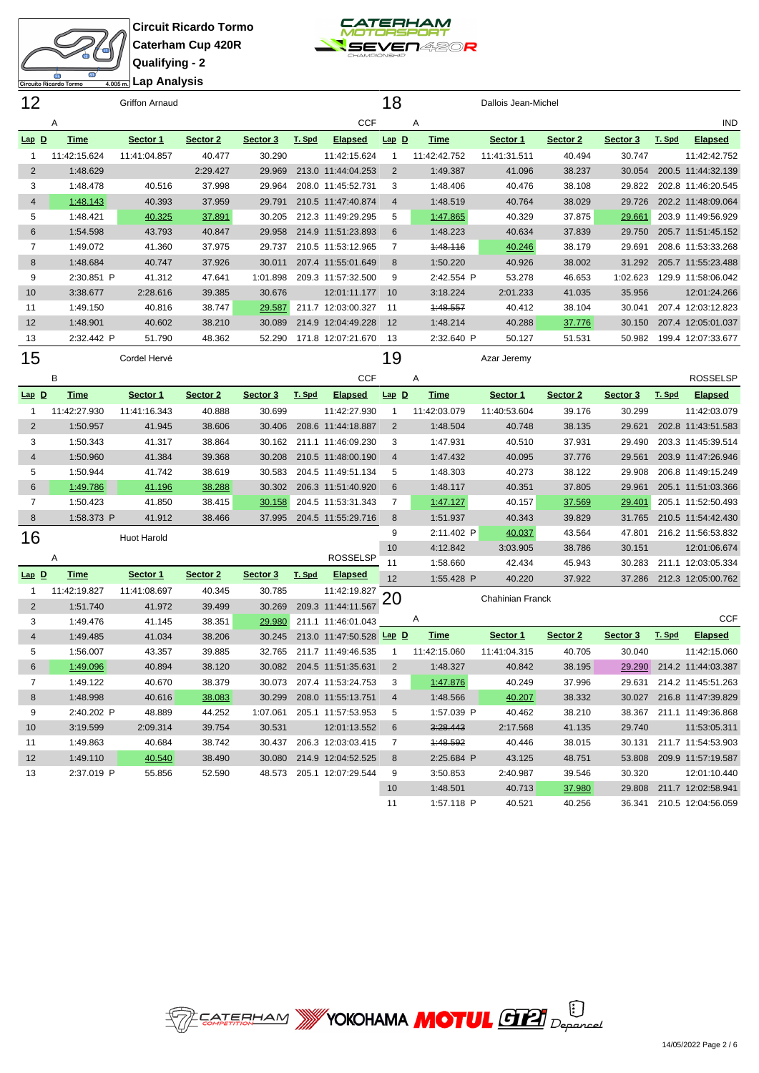



**Lap Analysis**

| 12             |              | <b>Griffon Arnaud</b> |          |          |        |                           | 18             |              | Dallois Jean-Michel     |          |          |        |                           |
|----------------|--------------|-----------------------|----------|----------|--------|---------------------------|----------------|--------------|-------------------------|----------|----------|--------|---------------------------|
|                | Α            |                       |          |          |        | <b>CCF</b>                |                | Α            |                         |          |          |        | <b>IND</b>                |
| $Lap$ $D$      | <b>Time</b>  | Sector 1              | Sector 2 | Sector 3 | T. Spd | <b>Elapsed</b>            | $Lap$ $D$      | <b>Time</b>  | Sector 1                | Sector 2 | Sector 3 | T. Spd | <b>Elapsed</b>            |
| $\mathbf{1}$   | 11:42:15.624 | 11:41:04.857          | 40.477   | 30.290   |        | 11:42:15.624              | -1             | 11:42:42.752 | 11:41:31.511            | 40.494   | 30.747   |        | 11:42:42.752              |
| $\overline{2}$ | 1:48.629     |                       | 2:29.427 | 29.969   |        | 213.0 11:44:04.253        | $\overline{2}$ | 1:49.387     | 41.096                  | 38.237   | 30.054   |        | 200.5 11:44:32.139        |
| 3              | 1:48.478     | 40.516                | 37.998   | 29.964   |        | 208.0 11:45:52.731        | 3              | 1:48.406     | 40.476                  | 38.108   | 29.822   |        | 202.8 11:46:20.545        |
| $\overline{4}$ | 1:48.143     | 40.393                | 37.959   | 29.791   |        | 210.5 11:47:40.874        | 4              | 1:48.519     | 40.764                  | 38.029   | 29.726   |        | 202.2 11:48:09.064        |
| 5              | 1:48.421     | 40.325                | 37.891   | 30.205   |        | 212.3 11:49:29.295        | 5              | 1:47.865     | 40.329                  | 37.875   | 29.661   |        | 203.9 11:49:56.929        |
| 6              | 1:54.598     | 43.793                | 40.847   | 29.958   |        | 214.9 11:51:23.893        | 6              | 1:48.223     | 40.634                  | 37.839   | 29.750   |        | 205.7 11:51:45.152        |
| $\overline{7}$ | 1:49.072     | 41.360                | 37.975   | 29.737   |        | 210.5 11:53:12.965        | 7              | 1:48.116     | 40.246                  | 38.179   | 29.691   |        | 208.6 11:53:33.268        |
| $\,8\,$        | 1:48.684     | 40.747                | 37.926   | 30.011   |        | 207.4 11:55:01.649        | 8              | 1:50.220     | 40.926                  | 38.002   | 31.292   |        | 205.7 11:55:23.488        |
| 9              | 2:30.851 P   | 41.312                | 47.641   | 1:01.898 |        | 209.3 11:57:32.500        | 9              | 2:42.554 P   | 53.278                  | 46.653   | 1:02.623 |        | 129.9 11:58:06.042        |
| 10             | 3:38.677     | 2:28.616              | 39.385   | 30.676   |        | 12:01:11.177              | 10             | 3:18.224     | 2:01.233                | 41.035   | 35.956   |        | 12:01:24.266              |
| 11             | 1:49.150     | 40.816                | 38.747   | 29.587   |        | 211.7 12:03:00.327        | 11             | 1:48.557     | 40.412                  | 38.104   | 30.041   |        | 207.4 12:03:12.823        |
| 12             | 1:48.901     | 40.602                | 38.210   | 30.089   |        | 214.9 12:04:49.228        | 12             | 1:48.214     | 40.288                  | 37.776   | 30.150   |        | 207.4 12:05:01.037        |
| 13             | 2:32.442 P   | 51.790                | 48.362   | 52.290   |        | 171.8 12:07:21.670        | 13             | 2:32.640 P   | 50.127                  | 51.531   | 50.982   |        | 199.4 12:07:33.677        |
| 15             |              | Cordel Hervé          |          |          |        |                           | 19             |              | Azar Jeremy             |          |          |        |                           |
|                | B            |                       |          |          |        | <b>CCF</b>                |                | Α            |                         |          |          |        | <b>ROSSELSP</b>           |
| $Lap$ D        | <u>Time</u>  | Sector 1              | Sector 2 | Sector 3 | T. Spd | <b>Elapsed</b>            | $Lap$ $D$      | <b>Time</b>  | Sector 1                | Sector 2 | Sector 3 | T. Spd | <b>Elapsed</b>            |
| $\mathbf{1}$   | 11:42:27.930 | 11:41:16.343          | 40.888   | 30.699   |        | 11:42:27.930              | 1              | 11:42:03.079 | 11:40:53.604            | 39.176   | 30.299   |        | 11:42:03.079              |
| 2              | 1:50.957     | 41.945                | 38.606   | 30.406   |        | 208.6 11:44:18.887        | $\overline{2}$ | 1:48.504     | 40.748                  | 38.135   | 29.621   |        | 202.8 11:43:51.583        |
| 3              | 1:50.343     | 41.317                | 38.864   | 30.162   |        | 211.1 11:46:09.230        | 3              | 1:47.931     | 40.510                  | 37.931   | 29.490   |        | 203.3 11:45:39.514        |
| $\overline{4}$ | 1:50.960     | 41.384                | 39.368   | 30.208   |        | 210.5 11:48:00.190        | $\overline{4}$ | 1:47.432     | 40.095                  | 37.776   | 29.561   |        | 203.9 11:47:26.946        |
| 5              | 1:50.944     | 41.742                | 38.619   | 30.583   |        | 204.5 11:49:51.134        | 5              | 1:48.303     | 40.273                  | 38.122   | 29.908   |        | 206.8 11:49:15.249        |
| $6\phantom{1}$ | 1:49.786     | 41.196                | 38.288   | 30.302   |        | 206.3 11:51:40.920        | 6              | 1:48.117     | 40.351                  | 37.805   | 29.961   |        | 205.1 11:51:03.366        |
| $\overline{7}$ | 1:50.423     | 41.850                | 38.415   | 30.158   |        | 204.5 11:53:31.343        | 7              | 1:47.127     | 40.157                  | 37.569   | 29.401   |        | 205.1 11:52:50.493        |
| 8              | 1:58.373 P   | 41.912                | 38.466   | 37.995   |        | 204.5 11:55:29.716        | $\bf 8$        | 1:51.937     | 40.343                  | 39.829   | 31.765   |        | 210.5 11:54:42.430        |
| 16             |              | <b>Huot Harold</b>    |          |          |        |                           | 9              | 2:11.402 P   | 40.037                  | 43.564   | 47.801   |        | 216.2 11:56:53.832        |
|                |              |                       |          |          |        |                           | 10             | 4:12.842     | 3:03.905                | 38.786   | 30.151   |        | 12:01:06.674              |
|                | Α            |                       |          |          |        | ROSSELSP                  | 11             | 1:58.660     | 42.434                  | 45.943   | 30.283   |        | 211.1 12:03:05.334        |
| $Lap$ $D$      | <u>Time</u>  | Sector 1              | Sector 2 | Sector 3 | T. Spd | <b>Elapsed</b>            | 12             | 1:55.428 P   | 40.220                  | 37.922   | 37.286   |        | 212.3 12:05:00.762        |
| $\mathbf{1}$   | 11:42:19.827 | 11:41:08.697          | 40.345   | 30.785   |        | 11:42:19.827              | 20             |              | <b>Chahinian Franck</b> |          |          |        |                           |
| $\overline{2}$ | 1:51.740     | 41.972                | 39.499   | 30.269   |        | 209.3 11:44:11.567        |                |              |                         |          |          |        |                           |
| 3              | 1:49.476     | 41.145                | 38.351   | 29.980   |        | 211.1 11:46:01.043        |                | A            |                         |          |          |        | <b>CCF</b>                |
| $\overline{4}$ | 1:49.485     | 41.034                | 38.206   | 30.245   |        | 213.0 11:47:50.528 Lap D  |                | <b>Time</b>  | Sector 1                | Sector 2 | Sector 3 | T. Spd | <b>Elapsed</b>            |
| 5              | 1:56.007     | 43.357                | 39.885   | 32.765   |        | 211.7 11:49:46.535        | 1              | 11:42:15.060 | 11:41:04.315            | 40.705   | 30.040   |        | 11:42:15.060              |
| 6              | 1:49.096     | 40.894                | 38.120   |          |        | 30.082 204.5 11:51:35.631 | $\overline{2}$ | 1:48.327     | 40.842                  | 38.195   |          |        | 29.290 214.2 11:44:03.387 |
| 7              | 1:49.122     | 40.670                | 38.379   | 30.073   |        | 207.4 11:53:24.753        | 3              | 1:47.876     | 40.249                  | 37.996   |          |        | 29.631 214.2 11:45:51.263 |
| 8              | 1:48.998     | 40.616                | 38.083   | 30.299   |        | 208.0 11:55:13.751        | $\overline{4}$ | 1:48.566     | 40.207                  | 38.332   |          |        | 30.027 216.8 11:47:39.829 |
| 9              | 2:40.202 P   | 48.889                | 44.252   | 1:07.061 |        | 205.1 11:57:53.953        | 5              | 1:57.039 P   | 40.462                  | 38.210   |          |        | 38.367 211.1 11:49:36.868 |
| 10             | 3:19.599     | 2:09.314              | 39.754   | 30.531   |        | 12:01:13.552              | 6              | 3:28.443     | 2:17.568                | 41.135   | 29.740   |        | 11:53:05.311              |
| 11             | 1:49.863     | 40.684                | 38.742   | 30.437   |        | 206.3 12:03:03.415        | 7              | 1:48.592     | 40.446                  | 38.015   | 30.131   |        | 211.7 11:54:53.903        |
| 12             | 1:49.110     | 40.540                | 38.490   | 30.080   |        | 214.9 12:04:52.525        | 8              | 2:25.684 P   | 43.125                  | 48.751   |          |        | 53.808 209.9 11:57:19.587 |
| 13             | 2:37.019 P   | 55.856                | 52.590   | 48.573   |        | 205.1 12:07:29.544        | 9              | 3:50.853     | 2:40.987                | 39.546   | 30.320   |        | 12:01:10.440              |
|                |              |                       |          |          |        |                           | 10             | 1:48.501     | 40.713                  | 37.980   |          |        | 29.808 211.7 12:02:58.941 |
|                |              |                       |          |          |        |                           | 11             | 1:57.118 P   | 40.521                  | 40.256   |          |        | 36.341 210.5 12:04:56.059 |

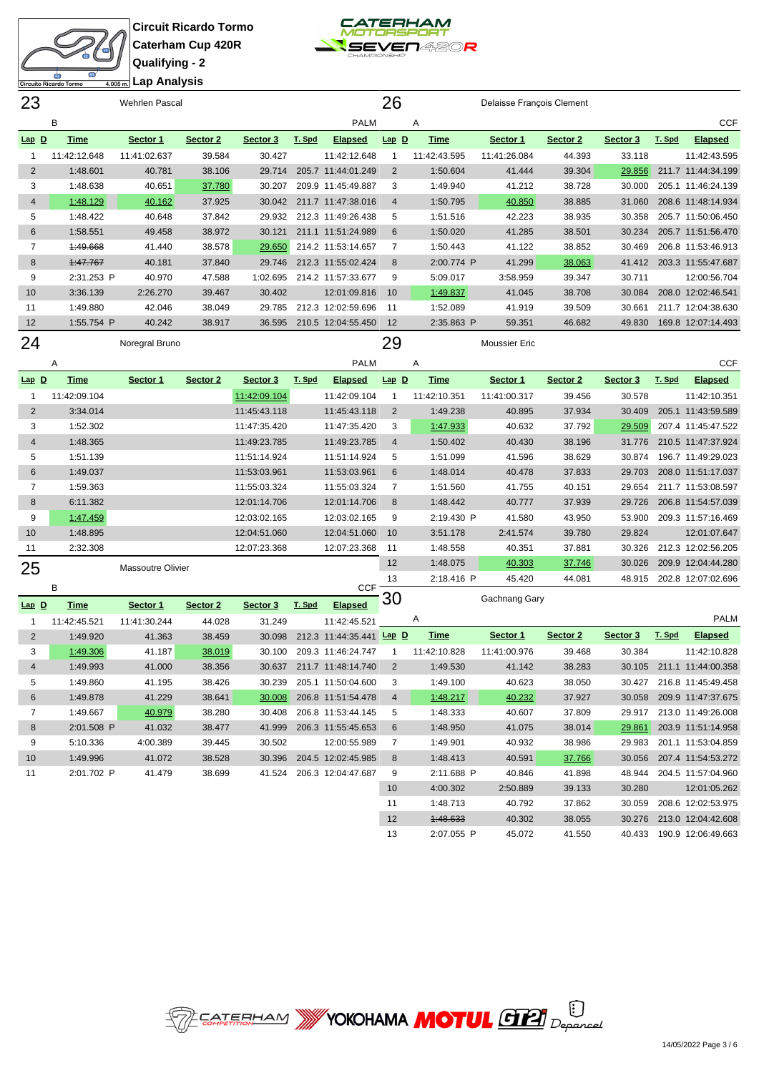



| 23             |              | <b>Wehrlen Pascal</b>    |          |              |        |                                 | 26             |                      | Delaisse François Clement |                  |                  |        |                                    |
|----------------|--------------|--------------------------|----------|--------------|--------|---------------------------------|----------------|----------------------|---------------------------|------------------|------------------|--------|------------------------------------|
|                | B            |                          |          |              |        | <b>PALM</b>                     |                | Α                    |                           |                  |                  |        | <b>CCF</b>                         |
| Lap D          | <b>Time</b>  | Sector 1                 | Sector 2 | Sector 3     | T. Spd | <b>Elapsed</b>                  | $Lap$ $D$      | <b>Time</b>          | Sector 1                  | Sector 2         | Sector 3         | T. Spd | <b>Elapsed</b>                     |
| $\mathbf{1}$   | 11:42:12.648 | 11:41:02.637             | 39.584   | 30.427       |        | 11:42:12.648                    | $\mathbf{1}$   | 11:42:43.595         | 11:41:26.084              | 44.393           | 33.118           |        | 11:42:43.595                       |
| $\overline{2}$ | 1:48.601     | 40.781                   | 38.106   | 29.714       |        | 205.7 11:44:01.249              | 2              | 1:50.604             | 41.444                    | 39.304           | 29.856           |        | 211.7 11:44:34.199                 |
| 3              | 1:48.638     | 40.651                   | 37.780   | 30.207       |        | 209.9 11:45:49.887              | 3              | 1:49.940             | 41.212                    | 38.728           | 30.000           |        | 205.1 11:46:24.139                 |
| $\overline{4}$ | 1:48.129     | 40.162                   | 37.925   |              |        | 30.042 211.7 11:47:38.016       | $\overline{4}$ | 1:50.795             | 40.850                    | 38.885           | 31.060           |        | 208.6 11:48:14.934                 |
| 5              | 1:48.422     | 40.648                   | 37.842   | 29.932       |        | 212.3 11:49:26.438              | 5              | 1:51.516             | 42.223                    | 38.935           | 30.358           |        | 205.7 11:50:06.450                 |
| 6              | 1:58.551     | 49.458                   | 38.972   | 30.121       |        | 211.1 11:51:24.989              | 6              | 1:50.020             | 41.285                    | 38.501           | 30.234           |        | 205.7 11:51:56.470                 |
| 7              | 1:49.668     | 41.440                   | 38.578   | 29.650       |        | 214.2 11:53:14.657              | 7              | 1:50.443             | 41.122                    | 38.852           | 30.469           |        | 206.8 11:53:46.913                 |
| 8              | 1:47.767     | 40.181                   | 37.840   | 29.746       |        | 212.3 11:55:02.424              | 8              | 2:00.774 P           | 41.299                    | 38.063           | 41.412           |        | 203.3 11:55:47.687                 |
| 9              | 2:31.253 P   | 40.970                   | 47.588   | 1:02.695     |        | 214.2 11:57:33.677              | 9              | 5:09.017             | 3:58.959                  | 39.347           | 30.711           |        | 12:00:56.704                       |
| 10             | 3:36.139     | 2:26.270                 | 39.467   | 30.402       |        | 12:01:09.816                    | 10             | 1:49.837             | 41.045                    | 38.708           | 30.084           |        | 208.0 12:02:46.541                 |
| 11             | 1:49.880     | 42.046                   | 38.049   | 29.785       |        | 212.3 12:02:59.696              | 11             | 1:52.089             | 41.919                    | 39.509           | 30.661           |        | 211.7 12:04:38.630                 |
| 12             | 1:55.754 P   | 40.242                   | 38.917   | 36.595       |        | 210.5 12:04:55.450              | 12             | 2:35.863 P           | 59.351                    | 46.682           | 49.830           |        | 169.8 12:07:14.493                 |
| 24             |              | Noregral Bruno           |          |              |        |                                 | 29             |                      | Moussier Eric             |                  |                  |        |                                    |
|                |              |                          |          |              |        | <b>PALM</b>                     |                | Α                    |                           |                  |                  |        | <b>CCF</b>                         |
|                | Α            |                          |          |              |        |                                 |                |                      |                           |                  |                  |        |                                    |
| $Lap$ $D$      | <b>Time</b>  | Sector 1                 | Sector 2 | Sector 3     | T. Spd | <b>Elapsed</b>                  | $Lap$ $D$      | <b>Time</b>          | Sector 1                  | Sector 2         | Sector 3         | T. Spd | <b>Elapsed</b>                     |
| $\mathbf{1}$   | 11:42:09.104 |                          |          | 11:42:09.104 |        | 11:42:09.104                    | $\mathbf{1}$   | 11:42:10.351         | 11:41:00.317              | 39.456           | 30.578           |        | 11:42:10.351                       |
| $\overline{2}$ | 3:34.014     |                          |          | 11:45:43.118 |        | 11:45:43.118                    | 2              | 1:49.238             | 40.895                    | 37.934           | 30.409           |        | 205.1 11:43:59.589                 |
| 3              | 1:52.302     |                          |          | 11:47:35.420 |        | 11:47:35.420                    | 3              | 1:47.933             | 40.632                    | 37.792           | 29.509           |        | 207.4 11:45:47.522                 |
| $\overline{4}$ | 1:48.365     |                          |          | 11:49:23.785 |        | 11:49:23.785                    | $\overline{4}$ | 1:50.402             | 40.430                    | 38.196           | 31.776           |        | 210.5 11:47:37.924                 |
| 5              | 1:51.139     |                          |          | 11:51:14.924 |        | 11:51:14.924                    | 5              | 1:51.099             | 41.596                    | 38.629           | 30.874           |        | 196.7 11:49:29.023                 |
| 6              | 1:49.037     |                          |          | 11:53:03.961 |        | 11:53:03.961                    | 6              | 1:48.014             | 40.478                    | 37.833           | 29.703           |        | 208.0 11:51:17.037                 |
| $\overline{7}$ | 1:59.363     |                          |          | 11:55:03.324 |        | 11:55:03.324                    | $\overline{7}$ | 1:51.560             | 41.755                    | 40.151           | 29.654           |        | 211.7 11:53:08.597                 |
| 8              | 6:11.382     |                          |          | 12:01:14.706 |        | 12:01:14.706                    | 8              | 1:48.442             | 40.777                    | 37.939           | 29.726           |        | 206.8 11:54:57.039                 |
| 9              | 1:47.459     |                          |          | 12:03:02.165 |        | 12:03:02.165                    | 9              | 2:19.430 P           | 41.580                    | 43.950           | 53.900           |        | 209.3 11:57:16.469                 |
| 10             | 1:48.895     |                          |          | 12:04:51.060 |        | 12:04:51.060                    | 10             | 3:51.178<br>1:48.558 | 2:41.574                  | 39.780           | 29.824<br>30.326 |        | 12:01:07.647<br>212.3 12:02:56.205 |
| 11             | 2:32.308     |                          |          | 12:07:23.368 |        | 12:07:23.368                    | 11<br>12       | 1:48.075             | 40.351<br>40.303          | 37.881<br>37.746 | 30.026           |        | 209.9 12:04:44.280                 |
| 25             |              | <b>Massoutre Olivier</b> |          |              |        |                                 | 13             | 2:18.416 P           | 45.420                    | 44.081           | 48.915           |        | 202.8 12:07:02.696                 |
|                | B            |                          |          |              |        | <b>CCF</b>                      |                |                      |                           |                  |                  |        |                                    |
| $Lap$ $D$      | <b>Time</b>  | Sector 1                 | Sector 2 | Sector 3     | T. Spd | Elapsed                         | 30             |                      | Gachnang Gary             |                  |                  |        |                                    |
| $\mathbf{1}$   | 11:42:45.521 | 11:41:30.244             | 44.028   | 31.249       |        | 11:42:45.521                    |                | A                    |                           |                  |                  |        | <b>PALM</b>                        |
| $\overline{2}$ | 1:49.920     | 41.363                   | 38.459   | 30.098       |        | 212.3 11:44:35.441 <b>Lap D</b> |                | <b>Time</b>          | Sector 1                  | Sector 2         | Sector 3         | T. Spd | <b>Elapsed</b>                     |
| 3              | 1:49.306     | 41.187                   | 38.019   | 30.100       |        | 209.3 11:46:24.747              | -1             | 11:42:10.828         | 11:41:00.976              | 39.468           | 30.384           |        | 11:42:10.828                       |
| 4              | 1:49.993     | 41.000                   | 38.356   |              |        | 30.637 211.7 11:48:14.740       | $\overline{2}$ | 1:49.530             | 41.142                    | 38.283           |                  |        | 30.105 211.1 11:44:00.358          |
| 5              | 1:49.860     | 41.195                   | 38.426   | 30.239       |        | 205.1 11:50:04.600              | 3              | 1:49.100             | 40.623                    | 38.050           |                  |        | 30.427 216.8 11:45:49.458          |
| 6              | 1:49.878     | 41.229                   | 38.641   | 30.008       |        | 206.8 11:51:54.478              | $\overline{4}$ | 1:48.217             | 40.232                    | 37.927           |                  |        | 30.058 209.9 11:47:37.675          |
| 7              | 1:49.667     | 40.979                   | 38.280   | 30.408       |        | 206.8 11:53:44.145              | 5              | 1:48.333             | 40.607                    | 37.809           |                  |        | 29.917 213.0 11:49:26.008          |
| 8              | 2:01.508 P   | 41.032                   | 38.477   | 41.999       |        | 206.3 11:55:45.653              | 6              | 1:48.950             | 41.075                    | 38.014           |                  |        | 29.861 203.9 11:51:14.958          |
| 9              | 5:10.336     | 4:00.389                 | 39.445   | 30.502       |        | 12:00:55.989                    | $\overline{7}$ | 1:49.901             | 40.932                    | 38.986           | 29.983           |        | 201.1 11:53:04.859                 |
| 10             | 1:49.996     | 41.072                   | 38.528   | 30.396       |        | 204.5 12:02:45.985              | 8              | 1:48.413             | 40.591                    | 37.766           | 30.056           |        | 207.4 11:54:53.272                 |
| 11             | 2:01.702 P   | 41.479                   | 38.699   | 41.524       |        | 206.3 12:04:47.687              | 9              | 2:11.688 P           | 40.846                    | 41.898           | 48.944           |        | 204.5 11:57:04.960                 |
|                |              |                          |          |              |        |                                 | 10             | 4:00.302             | 2:50.889                  | 39.133           | 30.280           |        | 12:01:05.262                       |
|                |              |                          |          |              |        |                                 | 11             | 1:48.713             | 40.792                    | 37.862           | 30.059           |        | 208.6 12:02:53.975                 |
|                |              |                          |          |              |        |                                 | 12             | 1:48.633             | 40.302                    | 38.055           |                  |        | 30.276 213.0 12:04:42.608          |



2:07.055 P 45.072 41.550 40.433 190.9 12:06:49.663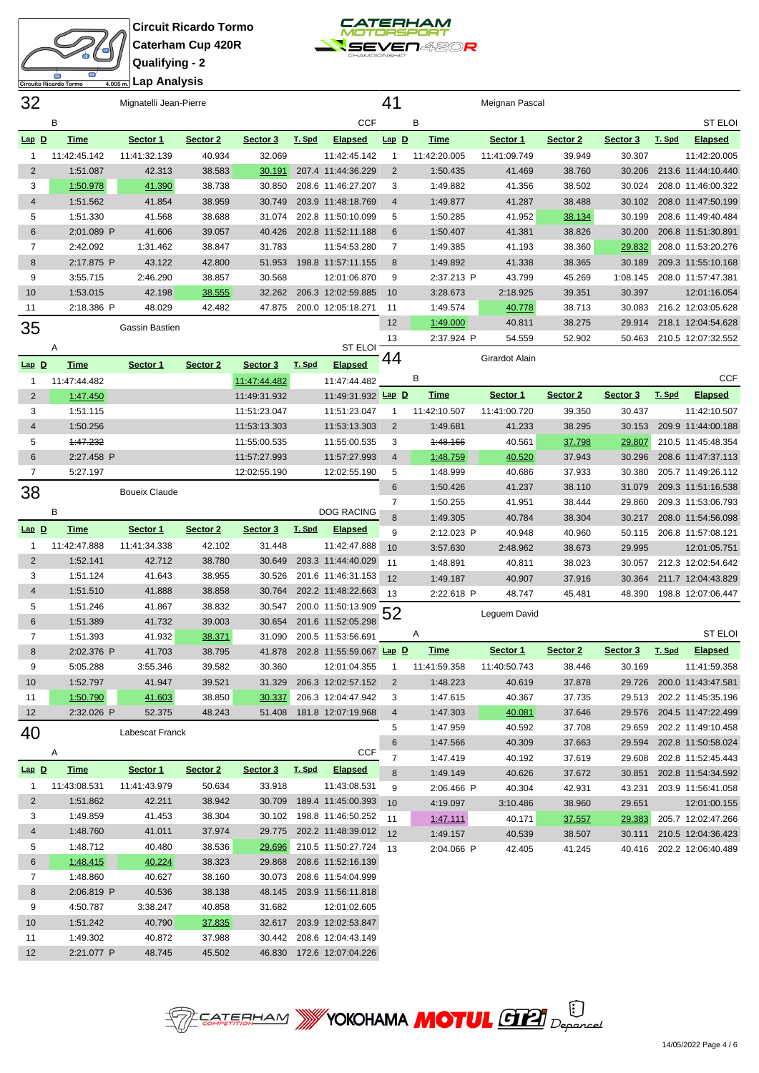



| 32             |              | Mignatelli Jean-Pierre |          |              |        |                           | 41             |                      | Meignan Pascal   |                  |                  |        |                                          |
|----------------|--------------|------------------------|----------|--------------|--------|---------------------------|----------------|----------------------|------------------|------------------|------------------|--------|------------------------------------------|
|                | В            |                        |          |              |        | <b>CCF</b>                |                | В                    |                  |                  |                  |        | <b>ST ELOI</b>                           |
| $Lap$ $D$      | <b>Time</b>  | Sector 1               | Sector 2 | Sector 3     | T. Spd | <b>Elapsed</b>            | $Lap$ $D$      | <b>Time</b>          | Sector 1         | Sector 2         | Sector 3         | T. Spd | <b>Elapsed</b>                           |
| $\mathbf{1}$   | 11:42:45.142 | 11:41:32.139           | 40.934   | 32.069       |        | 11:42:45.142              | $\mathbf{1}$   | 11:42:20.005         | 11:41:09.749     | 39.949           | 30.307           |        | 11:42:20.005                             |
| $\overline{2}$ | 1:51.087     | 42.313                 | 38.583   | 30.191       |        | 207.4 11:44:36.229        | $\overline{2}$ | 1:50.435             | 41.469           | 38.760           | 30.206           |        | 213.6 11:44:10.440                       |
| 3              | 1:50.978     | 41.390                 | 38.738   | 30.850       |        | 208.6 11:46:27.207        | 3              | 1:49.882             | 41.356           | 38.502           | 30.024           |        | 208.0 11:46:00.322                       |
| $\overline{4}$ | 1:51.562     | 41.854                 | 38.959   | 30.749       |        | 203.9 11:48:18.769        | $\overline{4}$ | 1:49.877             | 41.287           | 38.488           | 30.102           |        | 208.0 11:47:50.199                       |
| 5              | 1:51.330     | 41.568                 | 38.688   | 31.074       |        | 202.8 11:50:10.099        | 5              | 1:50.285             | 41.952           | 38.134           | 30.199           |        | 208.6 11:49:40.484                       |
| $\,6$          | 2:01.089 P   | 41.606                 | 39.057   | 40.426       |        | 202.8 11:52:11.188        | 6              | 1:50.407             | 41.381           | 38.826           | 30.200           |        | 206.8 11:51:30.891                       |
| $\overline{7}$ | 2:42.092     | 1:31.462               | 38.847   | 31.783       |        | 11:54:53.280              | $\overline{7}$ | 1:49.385             | 41.193           | 38.360           | 29.832           |        | 208.0 11:53:20.276                       |
| $\bf 8$        | 2:17.875 P   | 43.122                 | 42.800   | 51.953       |        | 198.8 11:57:11.155        | 8              | 1:49.892             | 41.338           | 38.365           | 30.189           |        | 209.3 11:55:10.168                       |
| 9              | 3:55.715     | 2:46.290               | 38.857   | 30.568       |        | 12:01:06.870              | 9              | 2:37.213 P           | 43.799           | 45.269           | 1:08.145         |        | 208.0 11:57:47.381                       |
| 10             | 1:53.015     | 42.198                 | 38.555   | 32.262       |        | 206.3 12:02:59.885        | 10             | 3:28.673             | 2:18.925         | 39.351           | 30.397           |        | 12:01:16.054                             |
| 11             | 2:18.386 P   | 48.029                 | 42.482   | 47.875       |        | 200.0 12:05:18.271        | 11             | 1:49.574             | 40.778           | 38.713           | 30.083           |        | 216.2 12:03:05.628                       |
| 35             |              | Gassin Bastien         |          |              |        |                           | 12             | 1:49.000             | 40.811           | 38.275           | 29.914           |        | 218.1 12:04:54.628                       |
|                |              |                        |          |              |        |                           | 13             | 2:37.924 P           | 54.559           | 52.902           | 50.463           |        | 210.5 12:07:32.552                       |
|                | Α            |                        |          |              |        | <b>ST ELOI</b>            | 44             |                      | Girardot Alain   |                  |                  |        |                                          |
| $Lap$ $D$      | <b>Time</b>  | Sector 1               | Sector 2 | Sector 3     | T. Spd | <b>Elapsed</b>            |                |                      |                  |                  |                  |        |                                          |
| $\mathbf{1}$   | 11:47:44.482 |                        |          | 11:47:44.482 |        | 11:47:44.482              |                | В                    |                  |                  |                  |        | <b>CCF</b>                               |
| $\overline{2}$ | 1:47.450     |                        |          | 11:49:31.932 |        | 11:49:31.932 Lap D        |                | Time                 | Sector 1         | Sector 2         | Sector 3         | T. Spd | <b>Elapsed</b>                           |
| 3              | 1:51.115     |                        |          | 11:51:23.047 |        | 11:51:23.047              | 1              | 11:42:10.507         | 11:41:00.720     | 39.350           | 30.437           |        | 11:42:10.507                             |
| $\overline{4}$ | 1:50.256     |                        |          | 11:53:13.303 |        | 11:53:13.303              | 2              | 1:49.681             | 41.233           | 38.295           | 30.153           |        | 209.9 11:44:00.188                       |
| 5              | 1:47.232     |                        |          | 11:55:00.535 |        | 11:55:00.535              | 3              | 1:48.166             | 40.561           | 37.798           | 29.807           |        | 210.5 11:45:48.354                       |
| 6              | 2:27.458 P   |                        |          | 11:57:27.993 |        | 11:57:27.993              | 4              | 1:48.759             | 40.520           | 37.943           | 30.296           |        | 208.6 11:47:37.113                       |
| $\overline{7}$ | 5:27.197     |                        |          | 12:02:55.190 |        | 12:02:55.190              | 5              | 1:48.999             | 40.686           | 37.933           | 30.380           |        | 205.7 11:49:26.112                       |
| 38             |              | <b>Boueix Claude</b>   |          |              |        |                           | 6              | 1:50.426             | 41.237           | 38.110           | 31.079           |        | 209.3 11:51:16.538                       |
|                | В            |                        |          |              |        | DOG RACING                | $\overline{7}$ | 1:50.255             | 41.951           | 38.444           | 29.860           |        | 209.3 11:53:06.793                       |
| $Lap$ D        | <b>Time</b>  | Sector 1               | Sector 2 | Sector 3     | T. Spd | <b>Elapsed</b>            | 8              | 1:49.305             | 40.784           | 38.304           | 30.217           |        | 208.0 11:54:56.098                       |
| $\mathbf{1}$   | 11:42:47.888 | 11:41:34.338           | 42.102   | 31.448       |        | 11:42:47.888              | 9              | 2:12.023 P           | 40.948           | 40.960           | 50.115           |        | 206.8 11:57:08.121                       |
| $\overline{2}$ | 1:52.141     | 42.712                 | 38.780   | 30.649       |        | 203.3 11:44:40.029        | 10<br>11       | 3:57.630             | 2:48.962         | 38.673           | 29.995           |        | 12:01:05.751                             |
| 3              | 1:51.124     | 41.643                 | 38.955   | 30.526       |        | 201.6 11:46:31.153        | 12             | 1:48.891<br>1:49.187 | 40.811<br>40.907 | 38.023<br>37.916 | 30.057<br>30.364 |        | 212.3 12:02:54.642<br>211.7 12:04:43.829 |
| $\overline{4}$ | 1:51.510     | 41.888                 | 38.858   | 30.764       |        | 202.2 11:48:22.663        | 13             | 2:22.618 P           | 48.747           | 45.481           | 48.390           |        | 198.8 12:07:06.447                       |
| 5              | 1:51.246     | 41.867                 | 38.832   | 30.547       |        | 200.0 11:50:13.909        |                |                      |                  |                  |                  |        |                                          |
| $6\phantom{1}$ | 1:51.389     | 41.732                 | 39.003   | 30.654       |        | 201.6 11:52:05.298        | 52             |                      | Leguem David     |                  |                  |        |                                          |
| $\overline{7}$ | 1:51.393     | 41.932                 | 38.371   | 31.090       |        | 200.5 11:53:56.691        |                | Α                    |                  |                  |                  |        | <b>ST ELOI</b>                           |
| 8              | 2:02.376 P   | 41.703                 | 38.795   | 41.878       |        | 202.8 11:55:59.067 Lap D  |                | <b>Time</b>          | Sector 1         | Sector 2         | Sector 3         | T. Spd | <b>Elapsed</b>                           |
| 9              | 5:05.288     | 3:55.346               | 39.582   | 30.360       |        | 12:01:04.355              | 1              | 11:41:59.358         | 11:40:50.743     | 38.446           | 30.169           |        | 11:41:59.358                             |
| 10             | 1:52.797     | 41.947                 | 39.521   | 31.329       |        | 206.3 12:02:57.152        | 2              | 1:48.223             | 40.619           | 37.878           | 29.726           |        | 200.0 11:43:47.581                       |
| 11             | 1:50.790     | 41.603                 | 38.850   | 30.337       |        | 206.3 12:04:47.942        | 3              | 1:47.615             | 40.367           | 37.735           | 29.513           |        | 202.2 11:45:35.196                       |
| 12             | 2:32.026 P   | 52.375                 | 48.243   | 51.408       |        | 181.8 12:07:19.968        | 4              | 1:47.303             | 40.081           | 37.646           | 29.576           |        | 204.5 11:47:22.499                       |
| 40             |              | Labescat Franck        |          |              |        |                           | 5              | 1:47.959             | 40.592           | 37.708           | 29.659           |        | 202.2 11:49:10.458                       |
|                |              |                        |          |              |        |                           | 6              | 1:47.566             | 40.309           | 37.663           | 29.594           |        | 202.8 11:50:58.024                       |
|                | Α            |                        |          |              |        | <b>CCF</b>                | $\overline{7}$ | 1:47.419             | 40.192           | 37.619           | 29.608           |        | 202.8 11:52:45.443                       |
| $Lap$ D        | <b>Time</b>  | Sector 1               | Sector 2 | Sector 3     | T. Spd | <b>Elapsed</b>            | 8              | 1:49.149             | 40.626           | 37.672           | 30.851           |        | 202.8 11:54:34.592                       |
| $\mathbf{1}$   | 11:43:08.531 | 11:41:43.979           | 50.634   | 33.918       |        | 11:43:08.531              | 9              | 2:06.466 P           | 40.304           | 42.931           | 43.231           |        | 203.9 11:56:41.058                       |
| $\overline{c}$ | 1:51.862     | 42.211                 | 38.942   | 30.709       |        | 189.4 11:45:00.393        | 10             | 4:19.097             | 3:10.486         | 38.960           | 29.651           |        | 12:01:00.155                             |
| 3              | 1:49.859     | 41.453                 | 38.304   |              |        | 30.102 198.8 11:46:50.252 | 11             | 1:47.111             | 40.171           | 37.557           | 29.383           |        | 205.7 12:02:47.266                       |
| 4              | 1:48.760     | 41.011                 | 37.974   | 29.775       |        | 202.2 11:48:39.012        | 12             | 1:49.157             | 40.539           | 38.507           | 30.111           |        | 210.5 12:04:36.423                       |
| 5              | 1:48.712     | 40.480                 | 38.536   | 29.696       |        | 210.5 11:50:27.724        | 13             | 2:04.066 P           | 42.405           | 41.245           | 40.416           |        | 202.2 12:06:40.489                       |
| 6              | 1:48.415     | 40.224                 | 38.323   | 29.868       |        | 208.6 11:52:16.139        |                |                      |                  |                  |                  |        |                                          |
| $\overline{7}$ | 1:48.860     | 40.627                 | 38.160   | 30.073       |        | 208.6 11:54:04.999        |                |                      |                  |                  |                  |        |                                          |
| 8              | 2:06.819 P   | 40.536                 | 38.138   | 48.145       |        | 203.9 11:56:11.818        |                |                      |                  |                  |                  |        |                                          |
| 9              | 4:50.787     | 3:38.247               | 40.858   | 31.682       |        | 12:01:02.605              |                |                      |                  |                  |                  |        |                                          |
| 10             | 1:51.242     | 40.790                 | 37.835   | 32.617       |        | 203.9 12:02:53.847        |                |                      |                  |                  |                  |        |                                          |
| 11             | 1:49.302     | 40.872                 | 37.988   | 30.442       |        | 208.6 12:04:43.149        |                |                      |                  |                  |                  |        |                                          |
| 12             | 2:21.077 P   | 48.745                 | 45.502   |              |        | 46.830 172.6 12:07:04.226 |                |                      |                  |                  |                  |        |                                          |

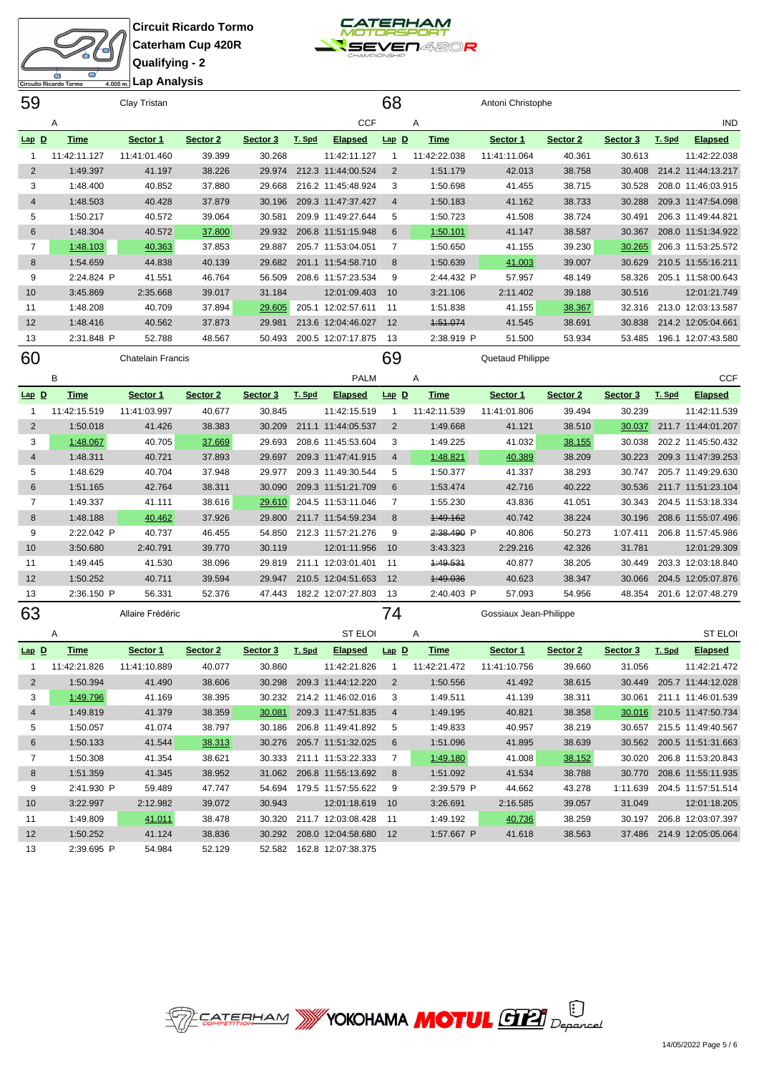



| 68<br>59<br>Clay Tristan<br>Antoni Christophe<br><b>CCF</b><br>Α<br>Α<br>$Lap$ $D$<br><b>Time</b><br>Sector 1<br>Sector 2<br>Sector 3<br>T. Spd<br>Lap D<br><b>Time</b><br>Sector 1<br>Sector 2<br>Sector 3<br><b>Elapsed</b><br>30.268<br>30.613<br>11:42:11.127<br>11:41:01.460<br>39.399<br>11:42:11.127<br>11:42:22.038<br>11:41:11.064<br>40.361<br>$\mathbf{1}$<br>$\mathbf{1}$<br>$\overline{c}$<br>1:49.397<br>41.197<br>38.226<br>212.3 11:44:00.524<br>$\overline{2}$<br>1:51.179<br>42.013<br>38.758<br>30.408<br>29.974<br>3<br>1:48.400<br>40.852<br>37.880<br>29.668<br>216.2 11:45:48.924<br>3<br>1:50.698<br>41.455<br>38.715<br>30.528<br>$\overline{4}$<br>1:48.503<br>40.428<br>37.879<br>209.3 11:47:37.427<br>1:50.183<br>41.162<br>38.733<br>30.288<br>30.196<br>$\overline{4}$<br>40.572<br>5<br>1:50.217<br>39.064<br>30.581<br>209.9 11:49:27.644<br>5<br>1:50.723<br>41.508<br>38.724<br>30.491<br>40.572<br>37.800<br>6<br>1:48.304<br>29.932<br>206.8 11:51:15.948<br>6<br>1:50.101<br>41.147<br>38.587<br>30.367<br>$\overline{7}$<br>40.363<br>30.265<br>1:48.103<br>37.853<br>29.887<br>205.7 11:53:04.051<br>7<br>1:50.650<br>41.155<br>39.230<br>41.003 | <b>IND</b><br><b>Elapsed</b><br>T. Spd<br>11:42:22.038<br>214.2 11:44:13.217<br>208.0 11:46:03.915<br>209.3 11:47:54.098<br>206.3 11:49:44.821 |
|------------------------------------------------------------------------------------------------------------------------------------------------------------------------------------------------------------------------------------------------------------------------------------------------------------------------------------------------------------------------------------------------------------------------------------------------------------------------------------------------------------------------------------------------------------------------------------------------------------------------------------------------------------------------------------------------------------------------------------------------------------------------------------------------------------------------------------------------------------------------------------------------------------------------------------------------------------------------------------------------------------------------------------------------------------------------------------------------------------------------------------------------------------------------------------------|------------------------------------------------------------------------------------------------------------------------------------------------|
|                                                                                                                                                                                                                                                                                                                                                                                                                                                                                                                                                                                                                                                                                                                                                                                                                                                                                                                                                                                                                                                                                                                                                                                          |                                                                                                                                                |
|                                                                                                                                                                                                                                                                                                                                                                                                                                                                                                                                                                                                                                                                                                                                                                                                                                                                                                                                                                                                                                                                                                                                                                                          |                                                                                                                                                |
|                                                                                                                                                                                                                                                                                                                                                                                                                                                                                                                                                                                                                                                                                                                                                                                                                                                                                                                                                                                                                                                                                                                                                                                          |                                                                                                                                                |
|                                                                                                                                                                                                                                                                                                                                                                                                                                                                                                                                                                                                                                                                                                                                                                                                                                                                                                                                                                                                                                                                                                                                                                                          |                                                                                                                                                |
|                                                                                                                                                                                                                                                                                                                                                                                                                                                                                                                                                                                                                                                                                                                                                                                                                                                                                                                                                                                                                                                                                                                                                                                          |                                                                                                                                                |
|                                                                                                                                                                                                                                                                                                                                                                                                                                                                                                                                                                                                                                                                                                                                                                                                                                                                                                                                                                                                                                                                                                                                                                                          |                                                                                                                                                |
|                                                                                                                                                                                                                                                                                                                                                                                                                                                                                                                                                                                                                                                                                                                                                                                                                                                                                                                                                                                                                                                                                                                                                                                          |                                                                                                                                                |
|                                                                                                                                                                                                                                                                                                                                                                                                                                                                                                                                                                                                                                                                                                                                                                                                                                                                                                                                                                                                                                                                                                                                                                                          |                                                                                                                                                |
|                                                                                                                                                                                                                                                                                                                                                                                                                                                                                                                                                                                                                                                                                                                                                                                                                                                                                                                                                                                                                                                                                                                                                                                          | 208.0 11:51:34.922                                                                                                                             |
|                                                                                                                                                                                                                                                                                                                                                                                                                                                                                                                                                                                                                                                                                                                                                                                                                                                                                                                                                                                                                                                                                                                                                                                          | 206.3 11:53:25.572                                                                                                                             |
| 44.838<br>30.629<br>8<br>1:54.659<br>40.139<br>29.682<br>201.1 11:54:58.710<br>8<br>1:50.639<br>39.007                                                                                                                                                                                                                                                                                                                                                                                                                                                                                                                                                                                                                                                                                                                                                                                                                                                                                                                                                                                                                                                                                   | 210.5 11:55:16.211                                                                                                                             |
| 9<br>2:24.824 P<br>41.551<br>46.764<br>56.509<br>208.6 11:57:23.534<br>9<br>2:44.432 P<br>57.957<br>48.149<br>58.326                                                                                                                                                                                                                                                                                                                                                                                                                                                                                                                                                                                                                                                                                                                                                                                                                                                                                                                                                                                                                                                                     | 205.1 11:58:00.643                                                                                                                             |
| 10<br>3:45.869<br>2:35.668<br>39.017<br>31.184<br>12:01:09.403<br>10<br>3:21.106<br>2:11.402<br>39.188<br>30.516                                                                                                                                                                                                                                                                                                                                                                                                                                                                                                                                                                                                                                                                                                                                                                                                                                                                                                                                                                                                                                                                         | 12:01:21.749                                                                                                                                   |
| 11<br>1:48.208<br>40.709<br>37.894<br>29.605<br>205.1 12:02:57.611<br>11<br>1:51.838<br>41.155<br>38.367<br>32.316                                                                                                                                                                                                                                                                                                                                                                                                                                                                                                                                                                                                                                                                                                                                                                                                                                                                                                                                                                                                                                                                       | 213.0 12:03:13.587                                                                                                                             |
| 1:51.074<br>12<br>1:48.416<br>40.562<br>37.873<br>29.981<br>213.6 12:04:46.027<br>12<br>41.545<br>38.691<br>30.838                                                                                                                                                                                                                                                                                                                                                                                                                                                                                                                                                                                                                                                                                                                                                                                                                                                                                                                                                                                                                                                                       | 214.2 12:05:04.661                                                                                                                             |
| 13<br>52.788<br>51.500<br>53.934<br>2:31.848 P<br>48.567<br>50.493<br>200.5 12:07:17.875<br>13<br>2:38.919 P<br>53.485                                                                                                                                                                                                                                                                                                                                                                                                                                                                                                                                                                                                                                                                                                                                                                                                                                                                                                                                                                                                                                                                   | 196.1 12:07:43.580                                                                                                                             |
| 69<br>60<br>Quetaud Philippe<br><b>Chatelain Francis</b>                                                                                                                                                                                                                                                                                                                                                                                                                                                                                                                                                                                                                                                                                                                                                                                                                                                                                                                                                                                                                                                                                                                                 |                                                                                                                                                |
|                                                                                                                                                                                                                                                                                                                                                                                                                                                                                                                                                                                                                                                                                                                                                                                                                                                                                                                                                                                                                                                                                                                                                                                          |                                                                                                                                                |
| B<br><b>PALM</b><br>Α                                                                                                                                                                                                                                                                                                                                                                                                                                                                                                                                                                                                                                                                                                                                                                                                                                                                                                                                                                                                                                                                                                                                                                    | <b>CCF</b>                                                                                                                                     |
| $Lap$ D<br>Time<br>Sector 2<br><b>Elapsed</b><br>$Lap$ D<br><b>Time</b><br>Sector 1<br>Sector 3<br>T. Spd<br>Sector 1<br>Sector 2<br>Sector 3                                                                                                                                                                                                                                                                                                                                                                                                                                                                                                                                                                                                                                                                                                                                                                                                                                                                                                                                                                                                                                            | <b>Elapsed</b><br>T. Spd                                                                                                                       |
| 30.239<br>11:42:15.519<br>11:41:03.997<br>40.677<br>30.845<br>11:42:15.519<br>11:42:11.539<br>11:41:01.806<br>39.494<br>1<br>-1                                                                                                                                                                                                                                                                                                                                                                                                                                                                                                                                                                                                                                                                                                                                                                                                                                                                                                                                                                                                                                                          | 11:42:11.539                                                                                                                                   |
| $\overline{2}$<br>$\overline{2}$<br>1:50.018<br>41.426<br>38.383<br>30.209<br>211.1 11:44:05.537<br>1:49.668<br>30.037<br>41.121<br>38.510                                                                                                                                                                                                                                                                                                                                                                                                                                                                                                                                                                                                                                                                                                                                                                                                                                                                                                                                                                                                                                               | 211.7 11:44:01.207                                                                                                                             |
| 3<br>1:48.067<br>40.705<br>37.669<br>208.6 11:45:53.604<br>3<br>1:49.225<br>41.032<br>38.155<br>30.038<br>29.693                                                                                                                                                                                                                                                                                                                                                                                                                                                                                                                                                                                                                                                                                                                                                                                                                                                                                                                                                                                                                                                                         | 202.2 11:45:50.432                                                                                                                             |
| $\overline{4}$<br>40.721<br>37.893<br>29.697<br>1:48.821<br>40.389<br>38.209<br>30.223<br>1:48.311<br>209.3 11:47:41.915<br>4                                                                                                                                                                                                                                                                                                                                                                                                                                                                                                                                                                                                                                                                                                                                                                                                                                                                                                                                                                                                                                                            | 209.3 11:47:39.253                                                                                                                             |
| 5<br>40.704<br>37.948<br>5<br>38.293<br>1:48.629<br>29.977<br>209.3 11:49:30.544<br>1:50.377<br>41.337<br>30.747                                                                                                                                                                                                                                                                                                                                                                                                                                                                                                                                                                                                                                                                                                                                                                                                                                                                                                                                                                                                                                                                         | 205.7 11:49:29.630                                                                                                                             |
| 6<br>42.764<br>38.311<br>30.090<br>6<br>1:53.474<br>42.716<br>40.222<br>30.536<br>1:51.165<br>209.3 11:51:21.709                                                                                                                                                                                                                                                                                                                                                                                                                                                                                                                                                                                                                                                                                                                                                                                                                                                                                                                                                                                                                                                                         | 211.7 11:51:23.104                                                                                                                             |
| 7<br>38.616<br>29.610<br>204.5 11:53:11.046<br>7<br>30.343<br>1:49.337<br>41.111<br>1:55.230<br>43.836<br>41.051                                                                                                                                                                                                                                                                                                                                                                                                                                                                                                                                                                                                                                                                                                                                                                                                                                                                                                                                                                                                                                                                         | 204.5 11:53:18.334                                                                                                                             |
| 8<br>40.462<br>37.926<br>29.800<br>211.7 11:54:59.234<br>8<br>1:49.162<br>40.742<br>38.224<br>30.196<br>1:48.188                                                                                                                                                                                                                                                                                                                                                                                                                                                                                                                                                                                                                                                                                                                                                                                                                                                                                                                                                                                                                                                                         | 208.6 11:55:07.496                                                                                                                             |
| 9<br>2:22.042 P<br>2:38.490 P<br>40.737<br>46.455<br>54.850<br>212.3 11:57:21.276<br>9<br>40.806<br>50.273<br>1:07.411                                                                                                                                                                                                                                                                                                                                                                                                                                                                                                                                                                                                                                                                                                                                                                                                                                                                                                                                                                                                                                                                   | 206.8 11:57:45.986                                                                                                                             |
| 10<br>3:50.680<br>2:40.791<br>39.770<br>30.119<br>12:01:11.956<br>10<br>3:43.323<br>2:29.216<br>42.326<br>31.781                                                                                                                                                                                                                                                                                                                                                                                                                                                                                                                                                                                                                                                                                                                                                                                                                                                                                                                                                                                                                                                                         | 12:01:29.309                                                                                                                                   |
| 38.096<br>211.1 12:03:01.401<br>1:49.531<br>11<br>1:49.445<br>41.530<br>29.819<br>11<br>40.877<br>38.205<br>30.449                                                                                                                                                                                                                                                                                                                                                                                                                                                                                                                                                                                                                                                                                                                                                                                                                                                                                                                                                                                                                                                                       | 203.3 12:03:18.840                                                                                                                             |
| 12<br>1:50.252<br>40.711<br>39.594<br>210.5 12:04:51.653<br>12<br>1:49.036<br>40.623<br>30.066<br>29.947<br>38.347                                                                                                                                                                                                                                                                                                                                                                                                                                                                                                                                                                                                                                                                                                                                                                                                                                                                                                                                                                                                                                                                       | 204.5 12:05:07.876                                                                                                                             |
| 13<br>2:36.150 P<br>56.331<br>52.376<br>47.443<br>182.2 12:07:27.803<br>13<br>2:40.403 P<br>57.093<br>54.956<br>48.354                                                                                                                                                                                                                                                                                                                                                                                                                                                                                                                                                                                                                                                                                                                                                                                                                                                                                                                                                                                                                                                                   | 201.6 12:07:48.279                                                                                                                             |
| 63<br>74<br>Allaire Frédéric<br>Gossiaux Jean-Philippe                                                                                                                                                                                                                                                                                                                                                                                                                                                                                                                                                                                                                                                                                                                                                                                                                                                                                                                                                                                                                                                                                                                                   |                                                                                                                                                |
| <b>ST ELOI</b><br>Α<br>Α                                                                                                                                                                                                                                                                                                                                                                                                                                                                                                                                                                                                                                                                                                                                                                                                                                                                                                                                                                                                                                                                                                                                                                 | <b>ST ELOI</b>                                                                                                                                 |
| Sector 2<br>Sector 3<br>Sector 3<br><u>Time</u><br><u>Lap D</u><br>Sector 1<br><u>T. Spd</u><br><b>Elapsed</b><br>$Lap$ <u>D</u><br><u>Time</u><br>Sector 1<br>Sector 2                                                                                                                                                                                                                                                                                                                                                                                                                                                                                                                                                                                                                                                                                                                                                                                                                                                                                                                                                                                                                  | <u>T. Spd</u><br><b>Elapsed</b>                                                                                                                |
| 11:42:21.826<br>11:41:10.889<br>40.077<br>30.860<br>11:42:21.826<br>11:42:21.472<br>31.056<br>$\mathbf{1}$<br>11:41:10.756<br>39.660<br>$\mathbf{1}$                                                                                                                                                                                                                                                                                                                                                                                                                                                                                                                                                                                                                                                                                                                                                                                                                                                                                                                                                                                                                                     | 11:42:21.472                                                                                                                                   |
| $\overline{2}$<br>1:50.394<br>41.490<br>38.606<br>30.298<br>209.3 11:44:12.220<br>$\overline{2}$<br>1:50.556<br>41.492<br>38.615<br>30.449                                                                                                                                                                                                                                                                                                                                                                                                                                                                                                                                                                                                                                                                                                                                                                                                                                                                                                                                                                                                                                               | 205.7 11:44:12.028                                                                                                                             |
| 3<br>1:49.796<br>41.169<br>38.395<br>3<br>1:49.511<br>41.139<br>38.311<br>30.232<br>214.2 11:46:02.016<br>30.061                                                                                                                                                                                                                                                                                                                                                                                                                                                                                                                                                                                                                                                                                                                                                                                                                                                                                                                                                                                                                                                                         | 211.1 11:46:01.539                                                                                                                             |
| 41.379<br>38.359<br>30.081<br>209.3 11:47:51.835<br>$\overline{4}$<br>1:49.195<br>40.821<br>38.358<br>30.016<br>4<br>1:49.819                                                                                                                                                                                                                                                                                                                                                                                                                                                                                                                                                                                                                                                                                                                                                                                                                                                                                                                                                                                                                                                            | 210.5 11:47:50.734                                                                                                                             |
| 5<br>41.074<br>38.797<br>206.8 11:49:41.892<br>5<br>1:49.833<br>40.957<br>38.219<br>1:50.057<br>30.186<br>30.657                                                                                                                                                                                                                                                                                                                                                                                                                                                                                                                                                                                                                                                                                                                                                                                                                                                                                                                                                                                                                                                                         | 215.5 11:49:40.567                                                                                                                             |
| 6<br>1:50.133<br>41.544<br>38.313<br>30.276<br>205.7 11:51:32.025<br>6<br>1:51.096<br>41.895<br>38.639<br>30.562                                                                                                                                                                                                                                                                                                                                                                                                                                                                                                                                                                                                                                                                                                                                                                                                                                                                                                                                                                                                                                                                         | 200.5 11:51:31.663                                                                                                                             |
| $\overline{7}$<br>7<br>1:50.308<br>41.354<br>38.621<br>30.333<br>211.1 11:53:22.333<br>1:49.180<br>41.008<br>38.152<br>30.020                                                                                                                                                                                                                                                                                                                                                                                                                                                                                                                                                                                                                                                                                                                                                                                                                                                                                                                                                                                                                                                            | 206.8 11:53:20.843                                                                                                                             |
| 8<br>41.345<br>31.062<br>206.8 11:55:13.692<br>8<br>41.534<br>30.770<br>1:51.359<br>38.952<br>1:51.092<br>38.788                                                                                                                                                                                                                                                                                                                                                                                                                                                                                                                                                                                                                                                                                                                                                                                                                                                                                                                                                                                                                                                                         | 208.6 11:55:11.935                                                                                                                             |
| 9<br>47.747<br>9<br>2:39.579 P<br>44.662<br>1:11.639<br>2:41.930 P<br>59.489<br>54.694<br>179.5 11:57:55.622<br>43.278                                                                                                                                                                                                                                                                                                                                                                                                                                                                                                                                                                                                                                                                                                                                                                                                                                                                                                                                                                                                                                                                   | 204.5 11:57:51.514                                                                                                                             |
| 10<br>3:22.997<br>2:12.982<br>39.072<br>30.943<br>12:01:18.619<br>10<br>3:26.691<br>2:16.585<br>31.049<br>39.057                                                                                                                                                                                                                                                                                                                                                                                                                                                                                                                                                                                                                                                                                                                                                                                                                                                                                                                                                                                                                                                                         | 12:01:18.205                                                                                                                                   |
| 41.011<br>211.7 12:03:08.428<br>40.736<br>11<br>1:49.809<br>38.478<br>30.320<br>11<br>1:49.192<br>38.259<br>30.197                                                                                                                                                                                                                                                                                                                                                                                                                                                                                                                                                                                                                                                                                                                                                                                                                                                                                                                                                                                                                                                                       | 206.8 12:03:07.397                                                                                                                             |
| 12<br>1:50.252<br>38.836<br>30.292<br>208.0 12:04:58.680<br>12<br>1:57.667 P<br>41.618<br>38.563<br>41.124                                                                                                                                                                                                                                                                                                                                                                                                                                                                                                                                                                                                                                                                                                                                                                                                                                                                                                                                                                                                                                                                               | 37.486 214.9 12:05:05.064                                                                                                                      |
| 2:39.695 P<br>54.984<br>52.129<br>162.8 12:07:38.375<br>13<br>52.582                                                                                                                                                                                                                                                                                                                                                                                                                                                                                                                                                                                                                                                                                                                                                                                                                                                                                                                                                                                                                                                                                                                     |                                                                                                                                                |

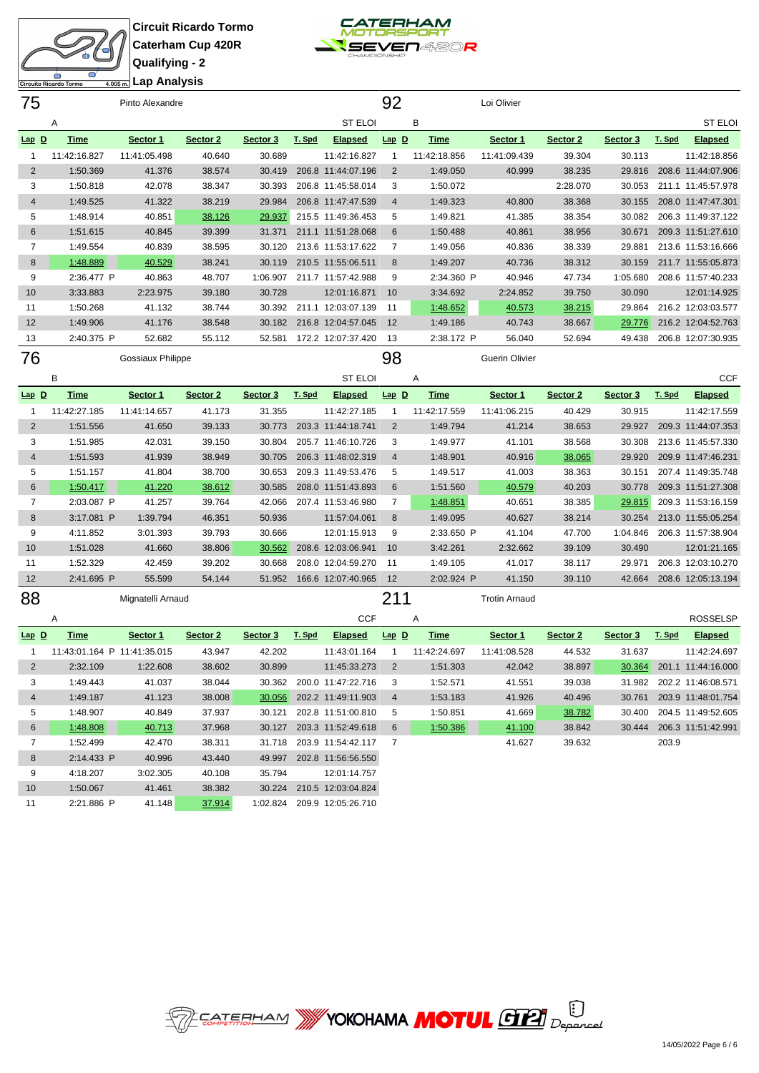



**Lap Analysis**

| 75             | Urcuito Ricardo Tormo       | 4.005 m.   wp / 111 wr y Oro<br>Pinto Alexandre |          |          |        |                    | 92              |              | Loi Olivier           |          |          |        |                    |
|----------------|-----------------------------|-------------------------------------------------|----------|----------|--------|--------------------|-----------------|--------------|-----------------------|----------|----------|--------|--------------------|
|                | Α                           |                                                 |          |          |        | <b>ST ELOI</b>     |                 | В            |                       |          |          |        | ST ELOI            |
| Lap D          | <b>Time</b>                 | Sector 1                                        | Sector 2 | Sector 3 | T. Spd | <b>Elapsed</b>     | $Lap$ $D$       | <b>Time</b>  | Sector 1              | Sector 2 | Sector 3 | T. Spd | <b>Elapsed</b>     |
| 1              | 11:42:16.827                | 11:41:05.498                                    | 40.640   | 30.689   |        | 11:42:16.827       | $\overline{1}$  | 11:42:18.856 | 11:41:09.439          | 39.304   | 30.113   |        | 11:42:18.856       |
| $\overline{2}$ | 1:50.369                    | 41.376                                          | 38.574   | 30.419   |        | 206.8 11:44:07.196 | $\overline{2}$  | 1:49.050     | 40.999                | 38.235   | 29.816   |        | 208.6 11:44:07.906 |
| 3              | 1:50.818                    | 42.078                                          | 38.347   | 30.393   |        | 206.8 11:45:58.014 | 3               | 1:50.072     |                       | 2:28.070 | 30.053   |        | 211.1 11:45:57.978 |
| $\overline{4}$ | 1:49.525                    | 41.322                                          | 38.219   | 29.984   |        | 206.8 11:47:47.539 | $\overline{4}$  | 1:49.323     | 40.800                | 38.368   | 30.155   |        | 208.0 11:47:47.301 |
| 5              | 1:48.914                    | 40.851                                          | 38.126   | 29.937   |        | 215.5 11:49:36.453 | 5               | 1:49.821     | 41.385                | 38.354   | 30.082   |        | 206.3 11:49:37.122 |
| 6              | 1:51.615                    | 40.845                                          | 39.399   | 31.371   |        | 211.1 11:51:28.068 | 6               | 1:50.488     | 40.861                | 38.956   | 30.671   |        | 209.3 11:51:27.610 |
| 7              | 1:49.554                    | 40.839                                          | 38.595   | 30.120   |        | 213.6 11:53:17.622 | 7               | 1:49.056     | 40.836                | 38.339   | 29.881   |        | 213.6 11:53:16.666 |
| 8              | 1:48.889                    | 40.529                                          | 38.241   | 30.119   |        | 210.5 11:55:06.511 | 8               | 1:49.207     | 40.736                | 38.312   | 30.159   |        | 211.7 11:55:05.873 |
| 9              | 2:36.477 P                  | 40.863                                          | 48.707   | 1:06.907 |        | 211.7 11:57:42.988 | 9               | 2:34.360 P   | 40.946                | 47.734   | 1:05.680 |        | 208.6 11:57:40.233 |
| 10             | 3:33.883                    | 2:23.975                                        | 39.180   | 30.728   |        | 12:01:16.871       | 10              | 3:34.692     | 2:24.852              | 39.750   | 30.090   |        | 12:01:14.925       |
| 11             | 1:50.268                    | 41.132                                          | 38.744   | 30.392   |        | 211.1 12:03:07.139 | 11              | 1:48.652     | 40.573                | 38.215   | 29.864   |        | 216.2 12:03:03.577 |
| 12             | 1:49.906                    | 41.176                                          | 38.548   | 30.182   |        | 216.8 12:04:57.045 | 12              | 1:49.186     | 40.743                | 38.667   | 29.776   |        | 216.2 12:04:52.763 |
| 13             | 2:40.375 P                  | 52.682                                          | 55.112   | 52.581   |        | 172.2 12:07:37.420 | 13              | 2:38.172 P   | 56.040                | 52.694   | 49.438   |        | 206.8 12:07:30.935 |
| 76             |                             | Gossiaux Philippe                               |          |          |        |                    | 98              |              | <b>Guerin Olivier</b> |          |          |        |                    |
|                | B                           |                                                 |          |          |        | <b>ST ELOI</b>     |                 | Α            |                       |          |          |        | <b>CCF</b>         |
| $Lap$ D        | <b>Time</b>                 | Sector 1                                        | Sector 2 | Sector 3 | T. Spd | <b>Elapsed</b>     | $Lap$ $D$       | <b>Time</b>  | Sector 1              | Sector 2 | Sector 3 | T. Spd | <b>Elapsed</b>     |
| 1              | 11:42:27.185                | 11:41:14.657                                    | 41.173   | 31.355   |        | 11:42:27.185       | $\mathbf{1}$    | 11:42:17.559 | 11:41:06.215          | 40.429   | 30.915   |        | 11:42:17.559       |
| $\overline{2}$ | 1:51.556                    | 41.650                                          | 39.133   | 30.773   |        | 203.3 11:44:18.741 | 2               | 1:49.794     | 41.214                | 38.653   | 29.927   |        | 209.3 11:44:07.353 |
| 3              | 1:51.985                    | 42.031                                          | 39.150   | 30.804   |        | 205.7 11:46:10.726 | 3               | 1:49.977     | 41.101                | 38.568   | 30.308   |        | 213.6 11:45:57.330 |
| $\overline{4}$ | 1:51.593                    | 41.939                                          | 38.949   | 30.705   |        | 206.3 11:48:02.319 | $\overline{4}$  | 1:48.901     | 40.916                | 38.065   | 29.920   |        | 209.9 11:47:46.231 |
| 5              | 1:51.157                    | 41.804                                          | 38.700   | 30.653   |        | 209.3 11:49:53.476 | 5               | 1:49.517     | 41.003                | 38.363   | 30.151   |        | 207.4 11:49:35.748 |
| 6              | 1:50.417                    | 41.220                                          | 38.612   | 30.585   |        | 208.0 11:51:43.893 | 6               | 1:51.560     | 40.579                | 40.203   | 30.778   |        | 209.3 11:51:27.308 |
| 7              | 2:03.087 P                  | 41.257                                          | 39.764   | 42.066   |        | 207.4 11:53:46.980 | 7               | 1:48.851     | 40.651                | 38.385   | 29.815   |        | 209.3 11:53:16.159 |
| 8              | 3:17.081 P                  | 1:39.794                                        | 46.351   | 50.936   |        | 11:57:04.061       | 8               | 1:49.095     | 40.627                | 38.214   | 30.254   |        | 213.0 11:55:05.254 |
| 9              | 4:11.852                    | 3:01.393                                        | 39.793   | 30.666   |        | 12:01:15.913       | 9               | 2:33.650 P   | 41.104                | 47.700   | 1:04.846 |        | 206.3 11:57:38.904 |
| 10             | 1:51.028                    | 41.660                                          | 38.806   | 30.562   |        | 208.6 12:03:06.941 | 10              | 3:42.261     | 2:32.662              | 39.109   | 30.490   |        | 12:01:21.165       |
| 11             | 1:52.329                    | 42.459                                          | 39.202   | 30.668   |        | 208.0 12:04:59.270 | 11              | 1:49.105     | 41.017                | 38.117   | 29.971   |        | 206.3 12:03:10.270 |
| 12             | 2:41.695 P                  | 55.599                                          | 54.144   | 51.952   |        | 166.6 12:07:40.965 | 12              | 2:02.924 P   | 41.150                | 39.110   | 42.664   |        | 208.6 12:05:13.194 |
| 88             |                             | Mignatelli Arnaud                               |          |          |        |                    | 211             |              | <b>Trotin Arnaud</b>  |          |          |        |                    |
|                | Α                           |                                                 |          |          |        | <b>CCF</b>         |                 | Α            |                       |          |          |        | <b>ROSSELSP</b>    |
| $Lap$ D        | <b>Time</b>                 | Sector 1                                        | Sector 2 | Sector 3 | T. Spd | <b>Elapsed</b>     | $Lap$ $D$       | <b>Time</b>  | Sector 1              | Sector 2 | Sector 3 | T. Spd | <b>Elapsed</b>     |
| 1              | 11:43:01.164 P 11:41:35.015 |                                                 | 43.947   | 42.202   |        | 11:43:01.164       | $\mathbf{1}$    | 11:42:24.697 | 11:41:08.528          | 44.532   | 31.637   |        | 11:42:24.697       |
| $\overline{2}$ | 2:32.109                    | 1:22.608                                        | 38.602   | 30.899   |        | 11:45:33.273       | $\overline{2}$  | 1:51.303     | 42.042                | 38.897   | 30.364   |        | 201.1 11:44:16.000 |
| 3              | 1:49.443                    | 41.037                                          | 38.044   | 30.362   |        | 200.0 11:47:22.716 | 3               | 1:52.571     | 41.551                | 39.038   | 31.982   |        | 202.2 11:46:08.571 |
| 4              | 1:49.187                    | 41.123                                          | 38.008   | 30.056   |        | 202.2 11:49:11.903 | 4               | 1:53.183     | 41.926                | 40.496   | 30.761   |        | 203.9 11:48:01.754 |
| 5              | 1:48.907                    | 40.849                                          | 37.937   | 30.121   |        | 202.8 11:51:00.810 | 5               | 1:50.851     | 41.669                | 38.782   | 30.400   |        | 204.5 11:49:52.605 |
| 6              | 1:48.808                    | 40.713                                          | 37.968   | 30.127   |        | 203.3 11:52:49.618 | $6\phantom{1}6$ | 1:50.386     | 41.100                | 38.842   | 30.444   |        | 206.3 11:51:42.991 |
| 7              | 1:52.499                    | 42.470                                          | 38.311   | 31.718   |        | 203.9 11:54:42.117 | $\overline{7}$  |              | 41.627                | 39.632   |          | 203.9  |                    |
| 8              | 2:14.433 P                  | 40.996                                          | 43.440   | 49.997   |        | 202.8 11:56:56.550 |                 |              |                       |          |          |        |                    |
| 9              | 4:18.207                    | 3:02.305                                        | 40.108   | 35.794   |        | 12:01:14.757       |                 |              |                       |          |          |        |                    |
| 10             | 1:50.067                    | 41.461                                          | 38.382   | 30.224   |        | 210.5 12:03:04.824 |                 |              |                       |          |          |        |                    |
| 11             | 2:21.886 P                  | 41.148                                          | 37.914   | 1:02.824 |        | 209.9 12:05:26.710 |                 |              |                       |          |          |        |                    |

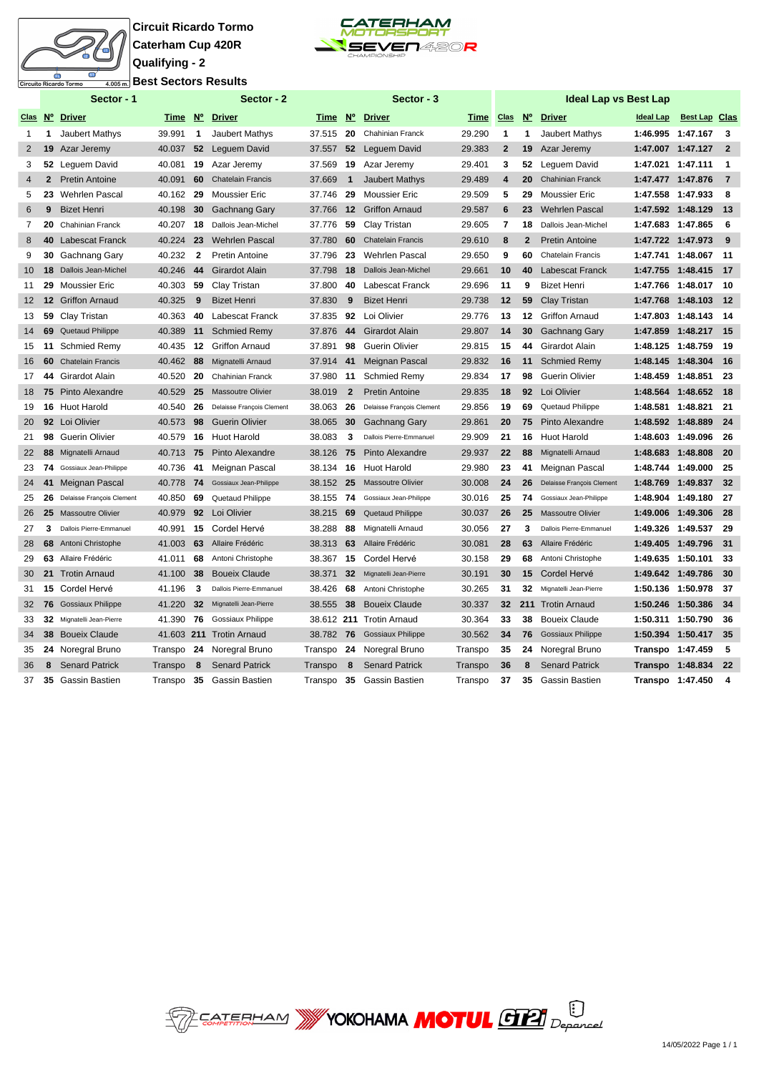# Ò uito Ricardo Tormo

**Circuit Ricardo Tormo Caterham Cup 420R Qualifying - 2 Best Sectors Results**



|                 |                | Sector - 1                |           |              | Sector - 2                |         |                | Sector - 3                |         |                |                                  | Ideal Lap vs Best Lap     |                   |                      |                |
|-----------------|----------------|---------------------------|-----------|--------------|---------------------------|---------|----------------|---------------------------|---------|----------------|----------------------------------|---------------------------|-------------------|----------------------|----------------|
| Clas Nº         |                | <b>Driver</b>             | Time N°   |              | <b>Driver</b>             | Time N° |                | <b>Driver</b>             | Time    | <b>Clas</b>    | $\underline{\mathsf{N}^{\circ}}$ | <b>Driver</b>             | <b>Ideal Lap</b>  | <b>Best Lap Clas</b> |                |
|                 | 1              | Jaubert Mathys            | 39.991    | 1            | <b>Jaubert Mathys</b>     | 37.515  | 20             | <b>Chahinian Franck</b>   | 29.290  | $\mathbf{1}$   | 1                                | Jaubert Mathys            |                   | 1:46.995 1:47.167    | 3              |
| $\overline{2}$  | 19             | Azar Jeremy               | 40.037    | 52           | Lequem David              | 37.557  | 52             | Lequem David              | 29.383  | $\overline{2}$ | 19                               | Azar Jeremy               |                   | 1:47.007 1:47.127    | $\overline{2}$ |
| 3               | 52             | Leguem David              | 40.081    | 19           | Azar Jeremy               | 37.569  | 19             | Azar Jeremy               | 29.401  | 3              | 52                               | Lequem David              | 1:47.021 1:47.111 |                      | -1             |
| $\overline{4}$  | $\overline{2}$ | <b>Pretin Antoine</b>     | 40.091    | 60           | <b>Chatelain Francis</b>  | 37.669  | $\mathbf{1}$   | <b>Jaubert Mathys</b>     | 29.489  | $\overline{4}$ | 20                               | <b>Chahinian Franck</b>   | 1:47.477 1:47.876 |                      | -7             |
| 5               | 23             | Wehrlen Pascal            | 40.162 29 |              | <b>Moussier Eric</b>      | 37.746  | 29             | <b>Moussier Eric</b>      | 29.509  | 5              | 29                               | <b>Moussier Eric</b>      | 1:47.558 1:47.933 |                      | 8              |
| 6               | 9              | <b>Bizet Henri</b>        | 40.198    | 30           | Gachnang Gary             | 37.766  | 12             | <b>Griffon Arnaud</b>     | 29.587  | 6              | 23                               | <b>Wehrlen Pascal</b>     |                   | 1:47.592 1:48.129    | 13             |
| $\overline{7}$  | 20             | <b>Chahinian Franck</b>   | 40.207    | 18           | Dallois Jean-Michel       | 37.776  | 59             | Clay Tristan              | 29.605  | $\overline{7}$ | 18                               | Dallois Jean-Michel       | 1:47.683 1:47.865 |                      | 6              |
| 8               | 40             | <b>Labescat Franck</b>    | 40.224    | 23           | <b>Wehrlen Pascal</b>     | 37.780  | 60             | <b>Chatelain Francis</b>  | 29.610  | 8              | $\overline{2}$                   | <b>Pretin Antoine</b>     | 1:47.722 1:47.973 |                      | 9              |
| 9               | 30             | Gachnang Gary             | 40.232    | $\mathbf{2}$ | <b>Pretin Antoine</b>     | 37.796  | 23             | <b>Wehrlen Pascal</b>     | 29.650  | 9              | 60                               | <b>Chatelain Francis</b>  | 1:47.741          | 1:48.067             | 11             |
| 10 <sup>°</sup> |                | 18 Dallois Jean-Michel    | 40.246    | 44           | Girardot Alain            | 37.798  | 18             | Dallois Jean-Michel       | 29.661  | 10             | 40                               | Labescat Franck           |                   | 1:47.755 1:48.415    | 17             |
| 11              | 29             | <b>Moussier Eric</b>      | 40.303    | 59           | Clay Tristan              | 37.800  | 40             | Labescat Franck           | 29.696  | 11             | 9                                | <b>Bizet Henri</b>        |                   | 1:47.766 1:48.017    | 10             |
| 12 <sup>2</sup> |                | <b>12 Griffon Arnaud</b>  | 40.325    | 9            | <b>Bizet Henri</b>        | 37.830  | 9              | <b>Bizet Henri</b>        | 29.738  | 12             | 59                               | <b>Clay Tristan</b>       | 1:47.768          | 1:48.103             | 12             |
| 13              | 59             | Clay Tristan              | 40.363    | 40           | Labescat Franck           | 37.835  | 92             | Loi Olivier               | 29.776  | 13             | 12                               | <b>Griffon Arnaud</b>     |                   | 1:47.803 1:48.143    | -14            |
| 14              | 69             | Quetaud Philippe          | 40.389    | 11           | <b>Schmied Remy</b>       | 37.876  | 44             | Girardot Alain            | 29.807  | 14             | 30                               | <b>Gachnang Gary</b>      | 1:47.859          | 1:48.217             | - 15           |
| 15              | 11             | Schmied Remy              | 40.435    | 12           | <b>Griffon Arnaud</b>     | 37.891  | 98             | <b>Guerin Olivier</b>     | 29.815  | 15             | 44                               | Girardot Alain            | 1:48.125 1:48.759 |                      | 19             |
| 16              | 60             | <b>Chatelain Francis</b>  | 40.462    | 88           | Mignatelli Arnaud         | 37.914  | 41             | Meignan Pascal            | 29.832  | 16             | 11                               | <b>Schmied Remy</b>       |                   | 1:48.145 1:48.304    | -16            |
| 17              | 44             | Girardot Alain            | 40.520    | 20           | <b>Chahinian Franck</b>   | 37.980  | 11             | <b>Schmied Remy</b>       | 29.834  | 17             | 98                               | <b>Guerin Olivier</b>     | 1:48.459 1:48.851 |                      | 23             |
| 18              | 75             | Pinto Alexandre           | 40.529    | 25           | <b>Massoutre Olivier</b>  | 38.019  | $\overline{2}$ | <b>Pretin Antoine</b>     | 29.835  | 18             | 92                               | Loi Olivier               | 1:48.564 1:48.652 |                      | 18             |
| 19              |                | 16 Huot Harold            | 40.540    | 26           | Delaisse François Clement | 38.063  | 26             | Delaisse François Clement | 29.856  | 19             | 69                               | Quetaud Philippe          | 1:48.581          | 1:48.821             | 21             |
| 20              |                | 92 Loi Olivier            | 40.573    | 98           | <b>Guerin Olivier</b>     | 38.065  | 30             | <b>Gachnang Gary</b>      | 29.861  | 20             | 75                               | Pinto Alexandre           | 1:48.592 1:48.889 |                      | 24             |
| 21              | 98             | <b>Guerin Olivier</b>     | 40.579    | 16           | <b>Huot Harold</b>        | 38.083  | 3              | Dallois Pierre-Emmanuel   | 29.909  | 21             | 16                               | <b>Huot Harold</b>        | 1:48.603 1:49.096 |                      | 26             |
| 22              | 88             | Mignatelli Arnaud         | 40.713 75 |              | Pinto Alexandre           | 38.126  | 75             | Pinto Alexandre           | 29.937  | 22             | 88                               | Mignatelli Arnaud         |                   | 1:48.683 1:48.808    | 20             |
| 23              | 74             | Gossiaux Jean-Philippe    | 40.736    | 41           | Meignan Pascal            | 38.134  | 16             | <b>Huot Harold</b>        | 29.980  | 23             | 41                               | Meignan Pascal            |                   | 1:48.744 1:49.000    | 25             |
| 24              | 41             | Meignan Pascal            | 40.778 74 |              | Gossiaux Jean-Philippe    | 38.152  | 25             | <b>Massoutre Olivier</b>  | 30.008  | 24             | 26                               | Delaisse François Clement | 1:48.769          | 1:49.837             | 32             |
| 25              | 26             | Delaisse François Clement | 40.850    | 69           | Quetaud Philippe          | 38.155  | 74             | Gossiaux Jean-Philippe    | 30.016  | 25             | 74                               | Gossiaux Jean-Philippe    |                   | 1:48.904 1:49.180    | 27             |
| 26              | 25             | <b>Massoutre Olivier</b>  | 40.979    | 92           | Loi Olivier               | 38.215  | 69             | Quetaud Philippe          | 30.037  | 26             | 25                               | <b>Massoutre Olivier</b>  |                   | 1:49.006 1:49.306    | 28             |
| 27              | 3              | Dallois Pierre-Emmanuel   | 40.991    | 15           | Cordel Hervé              | 38.288  | 88             | Mignatelli Arnaud         | 30.056  | 27             | 3                                | Dallois Pierre-Emmanuel   |                   | 1:49.326 1:49.537    | 29             |
| 28              | 68             | Antoni Christophe         | 41.003    | 63           | Allaire Frédéric          | 38.313  | 63             | Allaire Frédéric          | 30.081  | 28             | 63                               | Allaire Frédéric          |                   | 1:49.405 1:49.796    | 31             |
| 29              |                | 63 Allaire Frédéric       | 41.011    | 68           | Antoni Christophe         | 38.367  | 15             | Cordel Hervé              | 30.158  | 29             | 68                               | Antoni Christophe         | 1:49.635 1:50.101 |                      | 33             |
| 30              |                | 21 Trotin Arnaud          | 41.100    | 38           | <b>Boueix Claude</b>      | 38.371  | 32             | Mignatelli Jean-Pierre    | 30.191  | 30             | 15                               | Cordel Hervé              |                   | 1:49.642 1:49.786    | 30             |
| 31              | 15             | Cordel Hervé              | 41.196    | 3            | Dallois Pierre-Emmanuel   | 38.426  | 68             | Antoni Christophe         | 30.265  | 31             | 32                               | Mignatelli Jean-Pierre    | 1:50.136 1:50.978 |                      | 37             |
| 32              |                | 76 Gossiaux Philippe      | 41.220    | 32           | Mignatelli Jean-Pierre    | 38.555  | 38             | <b>Boueix Claude</b>      | 30.337  | 32             |                                  | 211 Trotin Arnaud         | 1:50.246          | 1:50.386             | 34             |
| 33              |                | 32 Mignatelli Jean-Pierre | 41.390    | 76           | <b>Gossiaux Philippe</b>  |         |                | 38.612 211 Trotin Arnaud  | 30.364  | 33             | 38                               | <b>Boueix Claude</b>      | 1:50.311          | 1:50.790             | 36             |
| 34              |                | 38 Boueix Claude          |           |              | 41.603 211 Trotin Arnaud  | 38.782  | 76             | <b>Gossiaux Philippe</b>  | 30.562  | 34             | 76                               | <b>Gossiaux Philippe</b>  |                   | 1:50.394 1:50.417    | - 35           |
| 35              |                | 24 Noregral Bruno         | Transpo   | 24           | Noregral Bruno            | Transpo | 24             | Noregral Bruno            | Transpo | 35             | 24                               | Noregral Bruno            | Transpo 1:47.459  |                      | -5             |
| 36              | 8              | <b>Senard Patrick</b>     | Transpo   | 8            | <b>Senard Patrick</b>     | Transpo | 8              | <b>Senard Patrick</b>     | Transpo | 36             | 8                                | <b>Senard Patrick</b>     | Transpo 1:48.834  |                      | 22             |
| 37              |                | 35 Gassin Bastien         | Transpo   | 35           | Gassin Bastien            | Transpo | 35             | Gassin Bastien            | Transpo | 37             | 35                               | Gassin Bastien            |                   | Transpo 1:47.450     | 4              |

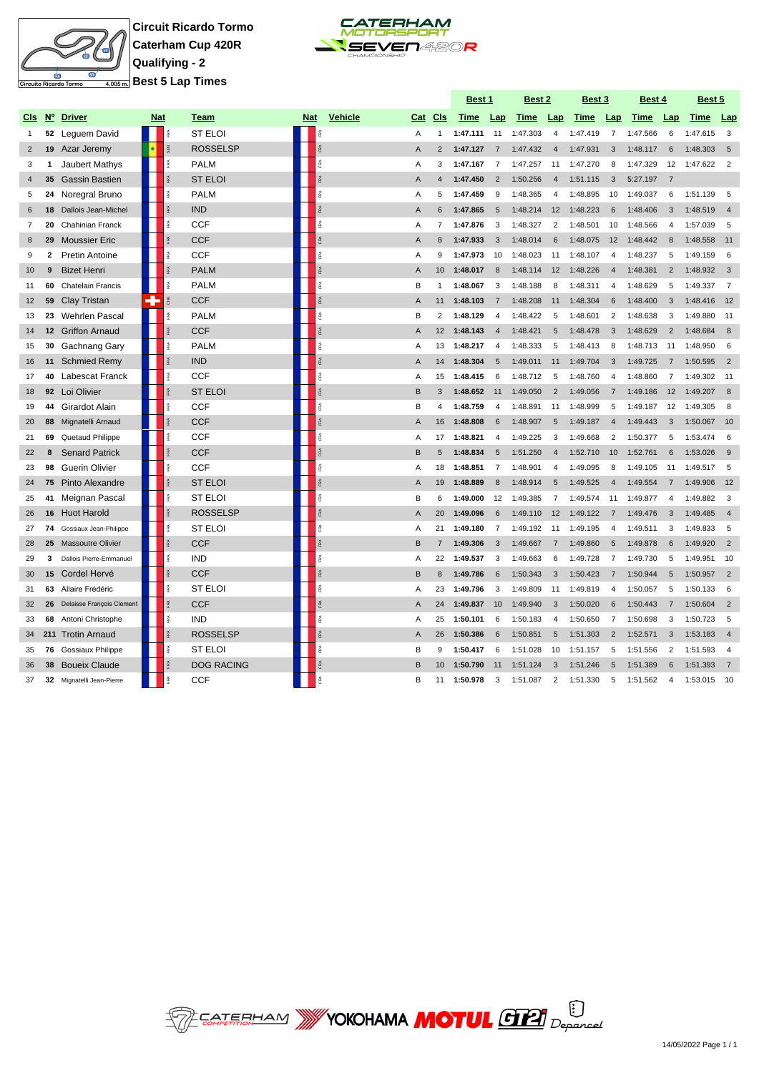

**Circuit Ricardo Tormo Caterham Cup 420R Qualifying - 2 Best 5 Lap Times**



|                |                 |                           |            |                      |                   |            |                  |                |                 | Best 1   |                       | <u>Best 2</u> |                         | <u>Best 3</u> |                | <u>Best 4</u> |                | <u>Best 5</u> |                |
|----------------|-----------------|---------------------------|------------|----------------------|-------------------|------------|------------------|----------------|-----------------|----------|-----------------------|---------------|-------------------------|---------------|----------------|---------------|----------------|---------------|----------------|
| CIs            | N°              | <b>Driver</b>             | <b>Nat</b> |                      | Team              | <b>Nat</b> | <b>Vehicle</b>   | Cat            | CIs             | Time     | Lap                   | <b>Time</b>   | Lap                     | Time          | Lap            | Time          | Lap            | Time          | <b>Lap</b>     |
| 1              |                 | 52 Leguem David           |            |                      | <b>ST ELOI</b>    |            |                  | Α              | 1               | 1:47.111 | 11                    | 1:47.303      | $\overline{4}$          | 1:47.419      | $\overline{7}$ | 1:47.566      | 6              | 1:47.615      | 3              |
| $\overline{2}$ | 19              | Azar Jeremy               |            | $\tilde{a}$          | <b>ROSSELSP</b>   |            | $\beta$          | $\overline{A}$ | 2               | 1:47.127 | $\overline{7}$        | 1:47.432      | $\overline{4}$          | 1:47.931      | 3              | 1:48.117      | 6              | 1:48.303      | 5              |
| 3              | 1               | Jaubert Mathys            |            | RA                   | <b>PALM</b>       |            | îRA.             | A              | 3               | 1:47.167 | $\overline{7}$        | 1:47.257      | 11                      | 1:47.270      | 8              | 1:47.329      | 12             | 1:47.622      | $\overline{2}$ |
| $\overline{4}$ | 35              | <b>Gassin Bastien</b>     |            |                      | <b>ST ELOI</b>    |            | RA               | $\overline{A}$ | $\overline{4}$  | 1:47.450 | $\overline{2}$        | 1:50.256      | $\overline{4}$          | 1:51.115      | 3              | 5:27.197      | $\overline{7}$ |               |                |
| 5              |                 | 24 Noregral Bruno         |            | RA                   | <b>PALM</b>       |            | îRA.             | A              | 5               | 1:47.459 | 9                     | 1:48.365      | $\overline{\mathbf{4}}$ | 1:48.895      | 10             | 1:49.037      | 6              | 1:51.139      | 5              |
| 6              |                 | 18 Dallois Jean-Michel    |            |                      | <b>IND</b>        |            |                  | $\overline{A}$ | 6               | 1:47.865 | $5\overline{5}$       | 1:48.214      | 12                      | 1:48.223      | 6              | 1:48.406      | 3              | 1:48.519      | $\overline{4}$ |
| $\overline{7}$ | 20              | <b>Chahinian Franck</b>   |            |                      | <b>CCF</b>        |            |                  | A              | $\overline{7}$  | 1:47.876 | 3                     | 1:48.327      | $\overline{2}$          | 1:48.501      | 10             | 1:48.566      | $\overline{4}$ | 1:57.039      | 5              |
| 8              | 29              | <b>Moussier Eric</b>      |            |                      | <b>CCF</b>        |            |                  | A              | 8               | 1:47.933 | 3                     | 1:48.014      | 6                       | 1:48.075      | 12             | 1:48.442      | 8              | 1:48.558      | 11             |
| 9              | $\mathbf{2}$    | <b>Pretin Antoine</b>     |            |                      | <b>CCF</b>        |            |                  | Α              | 9               | 1:47.973 | 10                    | 1:48.023      | 11                      | 1:48.107      | $\overline{4}$ | 1:48.237      | 5              | 1:49.159      | 6              |
| 10             | 9               | <b>Bizet Henri</b>        |            |                      | <b>PALM</b>       |            | RA               | $\overline{A}$ | 10              | 1:48.017 | 8                     | 1:48.114      | 12                      | 1:48.226      | $\overline{4}$ | 1:48.381      | $\overline{2}$ | 1:48.932      | $\overline{3}$ |
| 11             | 60              | <b>Chatelain Francis</b>  |            |                      | <b>PALM</b>       |            | RA               | B              | 1               | 1:48.067 | 3                     | 1:48.188      | 8                       | 1:48.311      | $\overline{4}$ | 1:48.629      | 5              | 1:49.337      | $\overline{7}$ |
| 12             | 59              | <b>Clay Tristan</b>       | ٠          | ₹                    | <b>CCF</b>        |            | <b>FRA</b>       | $\overline{A}$ | 11              | 1:48.103 | $\overline{7}$        | 1:48.208      | 11                      | 1:48.304      | 6              | 1:48.400      | $\mathbf{3}$   | 1:48.416      | 12             |
| 13             | 23              | <b>Wehrlen Pascal</b>     |            |                      | <b>PALM</b>       |            | RA               | B              | $\overline{2}$  | 1:48.129 | $\overline{4}$        | 1:48.422      | 5                       | 1:48.601      | $\overline{2}$ | 1:48.638      | 3              | 1:49.880      | 11             |
| 14             | 12 <sup>2</sup> | <b>Griffon Arnaud</b>     |            |                      | <b>CCF</b>        |            | ß                | $\overline{A}$ | 12 <sup>2</sup> | 1:48.143 | $\overline{4}$        | 1:48.421      | 5                       | 1:48.478      | 3              | 1:48.629      | 2              | 1:48.684      | 8              |
| 15             | 30              | Gachnang Gary             |            |                      | <b>PALM</b>       |            | îRA.             | A              | 13              | 1:48.217 | $\overline{4}$        | 1:48.333      | 5                       | 1:48.413      | 8              | 1:48.713      | 11             | 1:48.950      | 6              |
| 16             | 11              | <b>Schmied Remy</b>       |            |                      | <b>IND</b>        |            | RA               | A              | 14              | 1:48.304 | $\sqrt{5}$            | 1:49.011      | 11                      | 1:49.704      | 3              | 1:49.725      | $\overline{7}$ | 1:50.595      | $\overline{2}$ |
| 17             | 40              | Labescat Franck           |            | RA                   | <b>CCF</b>        |            | ß                | A              | 15              | 1:48.415 | 6                     | 1:48.712      | 5                       | 1:48.760      | $\overline{4}$ | 1:48.860      | $\overline{7}$ | 1:49.302      | 11             |
| 18             | 92              | Loi Olivier               |            |                      | <b>ST ELOI</b>    |            |                  | B              | 3               | 1:48.652 | 11                    | 1:49.050      | $\overline{2}$          | 1:49.056      | $\overline{7}$ | 1:49.186      | 12             | 1:49.207      | 8              |
| 19             | 44              | Girardot Alain            |            | é                    | <b>CCF</b>        |            | é                | B              | 4               | 1:48.759 | $\overline{4}$        | 1:48.891      | 11                      | 1:48.999      | 5              | 1:49.187      | 12             | 1:49.305      | 8              |
| 20             | 88              | Mignatelli Arnaud         |            |                      | <b>CCF</b>        |            |                  | A              | 16              | 1:48.808 | 6                     | 1:48.907      | $5\overline{5}$         | 1:49.187      | $\overline{4}$ | 1:49.443      | 3              | 1:50.067      | 10             |
| 21             | 69              | Quetaud Philippe          |            |                      | <b>CCF</b>        |            | ŘÁ               | A              | 17              | 1:48.821 | $\boldsymbol{\Delta}$ | 1:49.225      | 3                       | 1:49.668      | $\overline{2}$ | 1:50.377      | 5              | 1:53.474      | 6              |
| 22             | 8               | <b>Senard Patrick</b>     |            |                      | <b>CCF</b>        |            |                  | B              | 5               | 1:48.834 | 5                     | 1:51.250      | $\overline{4}$          | 1:52.710      | 10             | 1:52.761      | 6              | 1:53.026      | 9              |
| 23             | 98              | <b>Guerin Olivier</b>     |            |                      | <b>CCF</b>        |            |                  | Α              | 18              | 1:48.851 | $\overline{7}$        | 1:48.901      | $\overline{4}$          | 1:49.095      | 8              | 1:49.105      | 11             | 1:49.517      | 5              |
| 24             | 75              | <b>Pinto Alexandre</b>    |            |                      | <b>ST ELOI</b>    |            |                  | A              | 19              | 1:48.889 | 8                     | 1:48.914      | 5                       | 1:49.525      | $\overline{4}$ | 1:49.554      | $\overline{7}$ | 1:49.906      | 12             |
| 25             | 41              | Meignan Pascal            |            |                      | <b>ST ELOI</b>    |            |                  | B              | 6               | 1:49.000 | 12                    | 1:49.385      | 7                       | 1:49.574      | 11             | 1:49.877      | $\overline{4}$ | 1:49.882      | 3              |
| 26             | 16              | <b>Huot Harold</b>        |            | RA                   | <b>ROSSELSP</b>   |            | RA               | $\overline{A}$ | 20              | 1:49.096 | $6\phantom{1}$        | 1:49.110      | 12                      | 1:49.122      | $\overline{7}$ | 1:49.476      | $\mathbf{3}$   | 1:49.485      | $\overline{4}$ |
| 27             | 74              | Gossiaux Jean-Philippe    |            | ≨                    | <b>ST ELOI</b>    |            | FRA <sub>1</sub> | Α              | 21              | 1:49.180 | $\overline{7}$        | 1:49.192      | 11                      | 1:49.195      | $\overline{4}$ | 1:49.511      | 3              | 1:49.833      | 5              |
| 28             | 25              | <b>Massoutre Olivier</b>  |            | RA                   | <b>CCF</b>        |            | RA               | B              | $\overline{7}$  | 1:49.306 | 3                     | 1:49.667      | $\overline{7}$          | 1:49.860      | 5              | 1:49.878      | 6              | 1:49.920      | $\overline{2}$ |
| 29             | 3               | Dallois Pierre-Emmanuel   |            | RA                   | <b>IND</b>        |            | îRA.             | A              | 22              | 1:49.537 | 3                     | 1:49.663      | 6                       | 1:49.728      | $\overline{7}$ | 1:49.730      | 5              | 1:49.951      | 10             |
| 30             | 15              | Cordel Hervé              |            |                      | <b>CCF</b>        |            | RA               | B              | 8               | 1:49.786 | 6                     | 1:50.343      | 3                       | 1:50.423      | $\overline{7}$ | 1:50.944      | $5\phantom{.}$ | 1:50.957      | $\overline{2}$ |
| 31             | 63              | Allaire Frédéric          |            | 歪                    | <b>ST ELOI</b>    |            | 臣                | A              | 23              | 1:49.796 | 3                     | 1:49.809      | 11                      | 1:49.819      | $\overline{4}$ | 1:50.057      | 5              | 1:50.133      | 6              |
| 32             | 26              | Delaisse François Clement |            | $\tilde{\mathbb{R}}$ | <b>CCF</b>        |            | ŘÂ               | A              | 24              | 1:49.837 | 10                    | 1:49.940      | 3                       | 1:50.020      | 6              | 1:50.443      | $\overline{7}$ | 1:50.604      | $\overline{2}$ |
| 33             | 68              | Antoni Christophe         |            | îRA.                 | <b>IND</b>        |            | îRA.             | Α              | 25              | 1:50.101 | 6                     | 1:50.183      | $\overline{4}$          | 1:50.650      | 7              | 1:50.698      | 3              | 1:50.723      | 5              |
| 34             |                 | 211 Trotin Arnaud         |            |                      | <b>ROSSELSP</b>   |            |                  | $\overline{A}$ | 26              | 1:50.386 | 6                     | 1:50.851      | 5                       | 1:51.303      | $\overline{2}$ | 1:52.571      | $\mathbf{3}$   | 1:53.183      | $\overline{4}$ |
| 35             | 76              | Gossiaux Philippe         |            |                      | <b>ST ELOI</b>    |            | Ř                | B              | 9               | 1:50.417 | 6                     | 1:51.028      | 10                      | 1:51.157      | 5              | 1:51.556      | $\overline{2}$ | 1:51.593      | $\overline{4}$ |
| 36             |                 | 38 Boueix Claude          |            |                      | <b>DOG RACING</b> |            |                  | B              | 10              | 1:50.790 | 11                    | 1:51.124      | 3                       | 1:51.246      | 5              | 1:51.389      | 6              | 1:51.393      | $\overline{7}$ |
| 37             | 32              | Mignatelli Jean-Pierre    |            |                      | <b>CCF</b>        |            |                  | B              | 11              | 1:50.978 | 3                     | 1:51.087      | $\overline{2}$          | 1:51.330      | 5              | 1:51.562      | $\overline{4}$ | 1:53.015      | 10             |

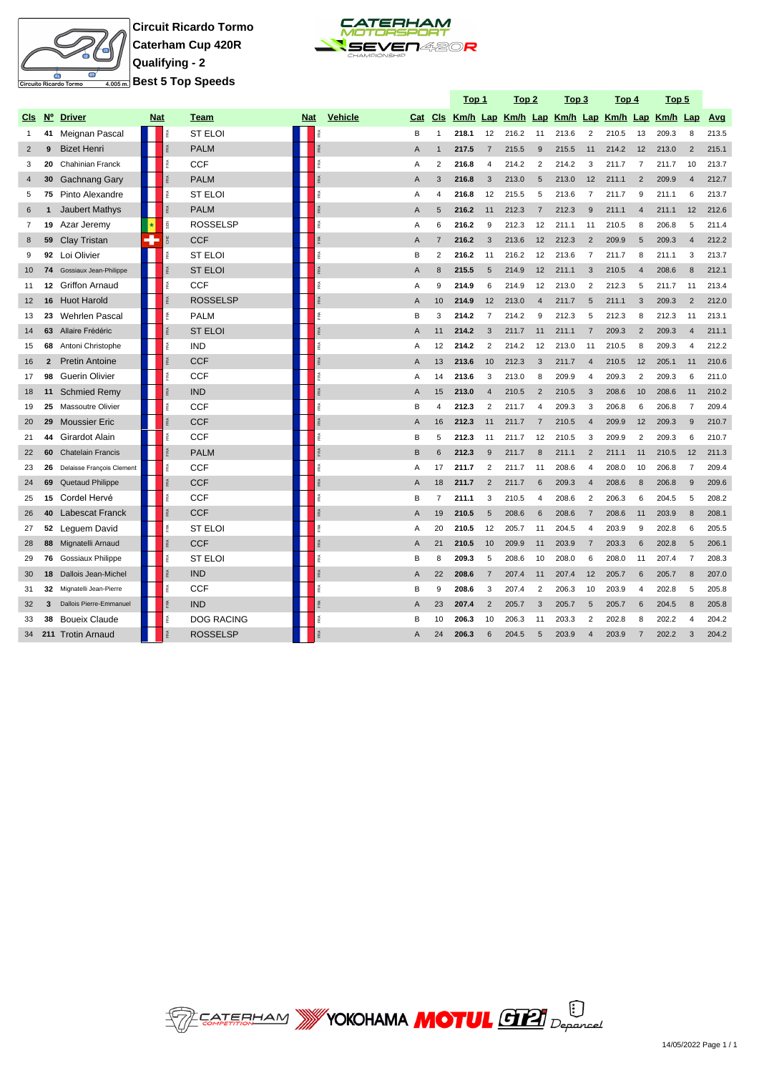

**Circuit Ricardo Tormo Caterham Cup 420R Qualifying - 2 Best 5 Top Speeds**



|                |                |                           |            |     |                   |     |                    |                |                | <u>Top 1</u> |                       | <u>Top 2</u>                                 |                       | <u>Top 3</u> |                         | <u>Top 4</u> |                       | <u>Top 5</u> |                |       |
|----------------|----------------|---------------------------|------------|-----|-------------------|-----|--------------------|----------------|----------------|--------------|-----------------------|----------------------------------------------|-----------------------|--------------|-------------------------|--------------|-----------------------|--------------|----------------|-------|
| <b>CIS</b>     | N°             | <b>Driver</b>             | <b>Nat</b> |     | Team              | Nat | <b>Vehicle</b>     | Cat            | <b>CIs</b>     |              |                       | Km/h Lap Km/h Lap Km/h Lap Km/h Lap Km/h Lap |                       |              |                         |              |                       |              |                | Avg   |
| 1              | 41             | Meignan Pascal            |            |     | <b>ST ELOI</b>    |     |                    | B              | $\overline{1}$ | 218.1        | 12                    | 216.2                                        | 11                    | 213.6        | $\overline{2}$          | 210.5        | 13                    | 209.3        | 8              | 213.5 |
| $\overline{2}$ | 9              | <b>Bizet Henri</b>        |            |     | <b>PALM</b>       |     |                    | A              | $\overline{1}$ | 217.5        | 7                     | 215.5                                        | 9                     | 215.5        | 11                      | 214.2        | 12                    | 213.0        | $\overline{2}$ | 215.1 |
| 3              | 20             | Chahinian Franck          |            | Æ   | <b>CCF</b>        |     | é                  | A              | $\overline{2}$ | 216.8        | $\boldsymbol{\Delta}$ | 214.2                                        | $\overline{2}$        | 214.2        | 3                       | 211.7        | $\overline{7}$        | 211.7        | 10             | 213.7 |
| $\overline{4}$ | 30             | Gachnang Gary             |            |     | <b>PALM</b>       |     |                    | $\overline{A}$ | 3              | 216.8        | 3                     | 213.0                                        | $\overline{5}$        | 213.0        | 12                      | 211.1        | $\overline{2}$        | 209.9        | $\overline{4}$ | 212.7 |
| 5              | 75             | Pinto Alexandre           |            | Æ   | <b>ST ELOI</b>    |     | Ř                  | Α              | $\overline{4}$ | 216.8        | 12                    | 215.5                                        | 5                     | 213.6        | $\overline{7}$          | 211.7        | 9                     | 211.1        | 6              | 213.7 |
| 6              |                | <b>Jaubert Mathys</b>     |            |     | <b>PALM</b>       |     | 乏                  | A              | 5              | 216.2        | 11                    | 212.3                                        | $\overline{7}$        | 212.3        | 9                       | 211.1        | $\boldsymbol{\Delta}$ | 211.1        | 12             | 212.6 |
| $\overline{7}$ | 19             | Azar Jeremy               | ∣∗         | 颪   | <b>ROSSELSP</b>   |     | RA.                | Α              | 6              | 216.2        | 9                     | 212.3                                        | 12                    | 211.1        | 11                      | 210.5        | 8                     | 206.8        | 5              | 211.4 |
| 8              | 59             | Clay Tristan              | ÷          | 뿡   | <b>CCF</b>        |     | <b>RA</b>          | A              | $\overline{7}$ | 216.2        | 3                     | 213.6                                        | 12                    | 212.3        | $\overline{2}$          | 209.9        | 5                     | 209.3        | $\overline{4}$ | 212.2 |
| 9              | 92             | Loi Olivier               |            | 泵   | <b>ST ELOI</b>    |     | 喬                  | B              | $\overline{2}$ | 216.2        | 11                    | 216.2                                        | 12                    | 213.6        | $\overline{7}$          | 211.7        | 8                     | 211.1        | 3              | 213.7 |
| 10             | 74             | Gossiaux Jean-Philippe    |            |     | <b>ST ELOI</b>    |     | ß.                 | $\overline{A}$ | $\mathsf{R}$   | 215.5        | 5                     | 214.9                                        | 12                    | 211.1        | 3                       | 210.5        | $\overline{A}$        | 208.6        | 8              | 212.1 |
| 11             | 12             | <b>Griffon Arnaud</b>     |            | 歪   | <b>CCF</b>        |     | î.                 | A              | 9              | 214.9        | 6                     | 214.9                                        | 12                    | 213.0        | $\overline{2}$          | 212.3        | 5                     | 211.7        | 11             | 213.4 |
| 12             | 16             | <b>Huot Harold</b>        |            |     | <b>ROSSELSP</b>   |     | $\frac{\sigma}{R}$ | A              | 10             | 214.9        | 12                    | 213.0                                        | $\overline{4}$        | 211.7        | 5                       | 211.1        | 3                     | 209.3        | $\overline{2}$ | 212.0 |
| 13             | 23             | <b>Wehrlen Pascal</b>     |            |     | <b>PALM</b>       |     |                    | B              | 3              | 214.2        | $\overline{7}$        | 214.2                                        | 9                     | 212.3        | 5                       | 212.3        | 8                     | 212.3        | 11             | 213.1 |
| 14             | 63             | Allaire Frédéric          |            |     | <b>ST ELOI</b>    |     |                    | A              | 11             | 214.2        | 3                     | 211.7                                        | 11                    | 211.1        | $\overline{7}$          | 209.3        | $\overline{2}$        | 209.3        | $\overline{4}$ | 211.1 |
| 15             | 68             | Antoni Christophe         |            |     | <b>IND</b>        |     |                    | A              | 12             | 214.2        | $\overline{2}$        | 214.2                                        | 12                    | 213.0        | 11                      | 210.5        | 8                     | 209.3        | $\overline{4}$ | 212.2 |
| 16             | $\overline{2}$ | <b>Pretin Antoine</b>     |            |     | <b>CCF</b>        |     |                    | $\overline{A}$ | 13             | 213.6        | 10                    | 212.3                                        | 3                     | 211.7        | $\overline{4}$          | 210.5        | 12                    | 205.1        | 11             | 210.6 |
| 17             | 98             | <b>Guerin Olivier</b>     |            |     | <b>CCF</b>        |     |                    | A              | 14             | 213.6        | 3                     | 213.0                                        | 8                     | 209.9        | $\overline{4}$          | 209.3        | $\overline{2}$        | 209.3        | 6              | 211.0 |
| 18             | 11             | <b>Schmied Remy</b>       |            |     | <b>IND</b>        |     |                    | A              | 15             | 213.0        | 4                     | 210.5                                        | $\overline{2}$        | 210.5        | 3                       | 208.6        | 10                    | 208.6        | 11             | 210.2 |
| 19             | 25             | Massoutre Olivier         |            | ß.  | CCF               |     | 歪                  | B              | $\overline{4}$ | 212.3        | $\overline{2}$        | 211.7                                        | $\overline{4}$        | 209.3        | 3                       | 206.8        | 6                     | 206.8        | $\overline{7}$ | 209.4 |
| 20             | 29             | <b>Moussier Eric</b>      |            |     | <b>CCF</b>        |     | <b>RA</b>          | $\overline{A}$ | 16             | 212.3        | 11                    | 211.7                                        | $\overline{7}$        | 210.5        | $\overline{4}$          | 209.9        | 12                    | 209.3        | 9              | 210.7 |
| 21             | 44             | Girardot Alain            |            | 歪   | <b>CCF</b>        |     | î.                 | B              | 5              | 212.3        | 11                    | 211.7                                        | 12                    | 210.5        | 3                       | 209.9        | $\overline{2}$        | 209.3        | 6              | 210.7 |
| 22             | 60             | <b>Chatelain Francis</b>  |            |     | <b>PALM</b>       |     | RÁ                 | B              | 6              | 212.3        | 9                     | 211.7                                        | 8                     | 211.1        | $\overline{2}$          | 211.1        | 11                    | 210.5        | 12             | 211.3 |
| 23             | 26             | Delaisse François Clement |            | RA. | <b>CCF</b>        |     | RA                 | A              | 17             | 211.7        | $\overline{2}$        | 211.7                                        | 11                    | 208.6        | $\overline{\mathbf{4}}$ | 208.0        | 10                    | 206.8        | $\overline{7}$ | 209.4 |
| 24             | 69             | Quetaud Philippe          |            |     | <b>CCF</b>        |     |                    | $\overline{A}$ | 18             | 211.7        | $\overline{2}$        | 211.7                                        | 6                     | 209.3        | $\overline{4}$          | 208.6        | 8                     | 206.8        | 9              | 209.6 |
| 25             | 15             | Cordel Hervé              |            |     | <b>CCF</b>        |     |                    | B              | $\overline{7}$ | 211.1        | 3                     | 210.5                                        | $\boldsymbol{\Delta}$ | 208.6        | $\overline{2}$          | 206.3        | 6                     | 204.5        | 5              | 208.2 |
| 26             | 40             | <b>Labescat Franck</b>    |            |     | <b>CCF</b>        |     |                    | A              | 19             | 210.5        | 5                     | 208.6                                        | 6                     | 208.6        | $\overline{7}$          | 208.6        | 11                    | 203.9        | 8              | 208.1 |
| 27             | 52             | Leguem David              |            | ß.  | <b>ST ELOI</b>    |     | 歪                  | Α              | 20             | 210.5        | 12                    | 205.7                                        | 11                    | 204.5        | 4                       | 203.9        | 9                     | 202.8        | 6              | 205.5 |
| 28             |                | 88 Mignatelli Arnaud      |            |     | <b>CCF</b>        |     |                    | $\overline{A}$ | 21             | 210.5        | 10                    | 209.9                                        | 11                    | 203.9        | $\overline{7}$          | 203.3        | 6                     | 202.8        | 5              | 206.1 |
| 29             |                | 76 Gossiaux Philippe      |            | RA. | <b>ST ELOI</b>    |     |                    | B              | 8              | 209.3        | 5                     | 208.6                                        | 10                    | 208.0        | 6                       | 208.0        | 11                    | 207.4        | $\overline{7}$ | 208.3 |
| 30             | 18             | Dallois Jean-Michel       |            | Æ   | <b>IND</b>        |     |                    | $\overline{A}$ | 22             | 208.6        | $\overline{7}$        | 207.4                                        | 11                    | 207.4        | 12                      | 205.7        | 6                     | 205.7        | 8              | 207.0 |
| 31             | 32             | Mignatelli Jean-Pierre    |            | ã.  | CCF               |     | 歪                  | B              | 9              | 208.6        | 3                     | 207.4                                        | $\overline{2}$        | 206.3        | 10                      | 203.9        | $\overline{4}$        | 202.8        | 5              | 205.8 |
| 32             | 3              | Dallois Pierre-Emmanuel   |            |     | <b>IND</b>        |     | <b>RA</b>          | A              | 23             | 207.4        | 2                     | 205.7                                        | 3                     | 205.7        | 5                       | 205.7        | 6                     | 204.5        | 8              | 205.8 |
| 33             | 38             | <b>Boueix Claude</b>      |            |     | <b>DOG RACING</b> |     |                    | B              | 10             | 206.3        | 10                    | 206.3                                        | 11                    | 203.3        | $\overline{2}$          | 202.8        | 8                     | 202.2        | $\overline{4}$ | 204.2 |
| 34             | 211            | <b>Trotin Arnaud</b>      |            |     | <b>ROSSELSP</b>   |     |                    | $\overline{A}$ | 24             | 206.3        | 6                     | 204.5                                        | 5                     | 203.9        | $\overline{4}$          | 203.9        | $\overline{7}$        | 202.2        | 3              | 204.2 |

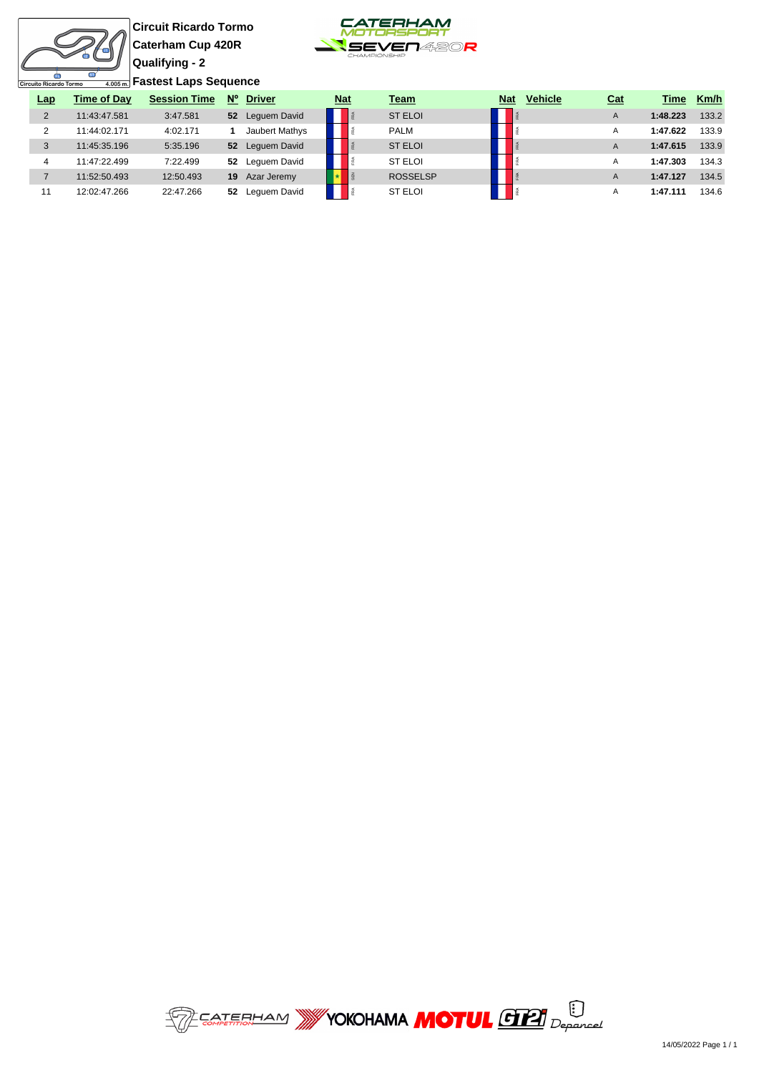**Circuit Ricardo Tormo Caterham Cup 420R Qualifying - 2 Fastest Laps Sequence**



| Circuito Ricardo Tormo |                    | 4,005ml Pastest Laps Sequence |             |                 |                 |                 |  |
|------------------------|--------------------|-------------------------------|-------------|-----------------|-----------------|-----------------|--|
| Lap                    | <b>Time of Day</b> | <b>Session Time</b>           | $N^{\circ}$ | <b>Driver</b>   | <u>Nat</u>      | Team            |  |
| 2                      | 11:43:47.581       | 3:47.581                      | 52          | Lequem David    | FRA             | <b>ST ELOI</b>  |  |
| 2                      | 11:44:02.171       | 4:02.171                      |             | Jaubert Mathys  | Ě               | <b>PALM</b>     |  |
| 3                      | 11:45:35.196       | 5:35.196                      |             | 52 Lequem David | FRA             | <b>ST ELOI</b>  |  |
| 4                      | 11:47:22.499       | 7:22.499                      | 52          | Lequem David    | Ĕ               | <b>ST ELOI</b>  |  |
| 7                      | 11:52:50.493       | 12:50.493                     | 19          | Azar Jeremy     | SE <sub>N</sub> | <b>ROSSELSP</b> |  |
| 11                     | 12:02:47.266       | 22:47.266                     | 52          | Lequem David    | FRA             | <b>ST ELOI</b>  |  |

| Lap            | <b>Time of Dav</b> | <b>Session Time</b> | $N^{\circ}$      | <b>Driver</b>  | <u>Nat</u> |  | Team            | <b>Nat</b> | <b>Vehicle</b> | <u>Cat</u> | Time     | Km/h  |
|----------------|--------------------|---------------------|------------------|----------------|------------|--|-----------------|------------|----------------|------------|----------|-------|
| 2              | 11:43:47.581       | 3:47.581            | 52               | Lequem David   |            |  | <b>ST ELOI</b>  |            |                | A          | 1:48.223 | 133.2 |
| 2              | 11:44:02.171       | 4:02.171            |                  | Jaubert Mathys |            |  | <b>PALM</b>     |            |                | А          | 1:47.622 | 133.9 |
| 3              | 11:45:35.196       | 5:35.196            | $52\phantom{.0}$ | Lequem David   |            |  | <b>ST ELOI</b>  |            |                | A          | 1:47.615 | 133.9 |
| $\overline{4}$ | 11:47:22.499       | 7:22.499            | 52               | Lequem David   |            |  | ST ELOI         |            |                | A          | 1:47.303 | 134.3 |
|                | 11:52:50.493       | 12:50.493           | 19               | Azar Jeremy    |            |  | <b>ROSSELSP</b> |            |                | A          | 1:47.127 | 134.5 |
| 11             | 12:02:47.266       | 22:47.266           | 52               | Lequem David   |            |  | <b>ST ELOI</b>  |            |                | A          | 1:47.111 | 134.6 |

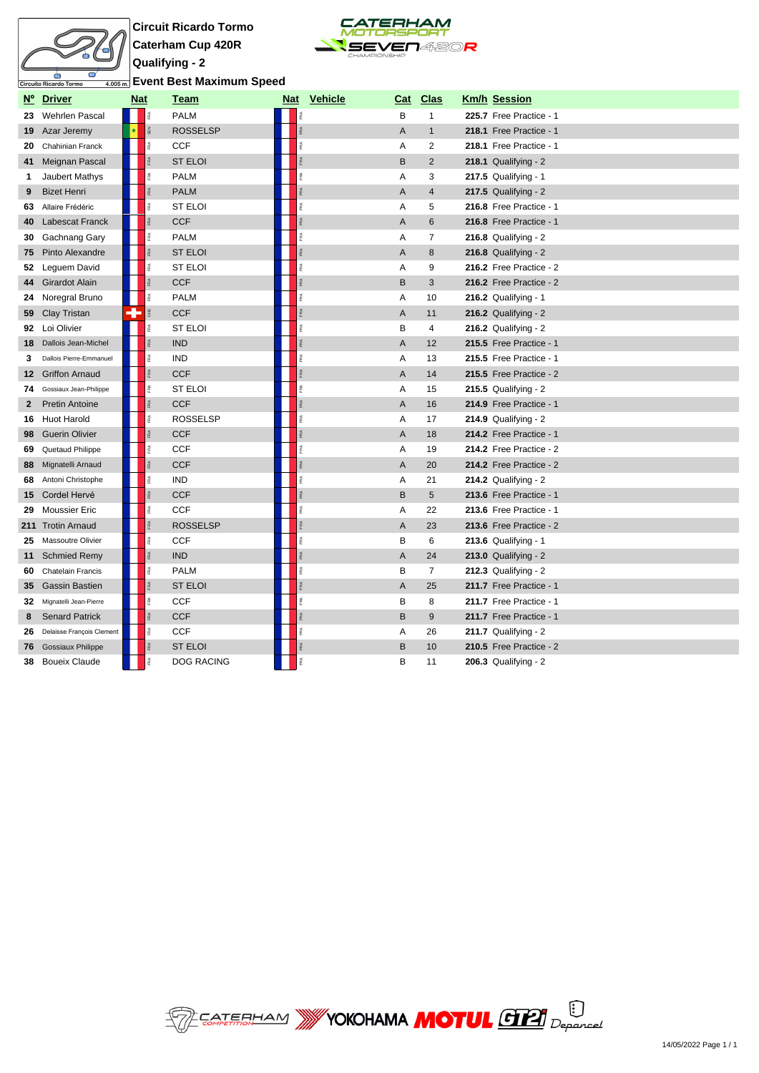



| <mark>ଲ</mark> Event Best Maximum Speed |  |  |  |  |  |
|-----------------------------------------|--|--|--|--|--|
|-----------------------------------------|--|--|--|--|--|

| $N^{\circ}$ | <b>Driver</b>             | Nat                     | Team              |       | Nat Vehicle | Cat                       | <u>Clas</u>    | <b>Km/h Session</b>     |
|-------------|---------------------------|-------------------------|-------------------|-------|-------------|---------------------------|----------------|-------------------------|
| 23          | Wehrlen Pascal            | FRA                     | <b>PALM</b>       | FRA   |             | B                         | $\mathbf{1}$   | 225.7 Free Practice - 1 |
|             | <b>19</b> Azar Jeremy     | SEN                     | <b>ROSSELSP</b>   |       |             | $\overline{A}$            | $\mathbf{1}$   | 218.1 Free Practice - 1 |
|             | 20 Chahinian Franck       | FRA                     | <b>CCF</b>        | FRA   |             | Α                         | 2              | 218.1 Free Practice - 1 |
|             | 41 Meignan Pascal         |                         | <b>ST ELOI</b>    | FRA   |             | B                         | $\overline{2}$ | $218.1$ Qualifying - 2  |
| 1           | Jaubert Mathys            | īRA.                    | <b>PALM</b>       | FRA   |             | Α                         | 3              | $217.5$ Qualifying - 1  |
| 9           | <b>Bizet Henri</b>        | 臣                       | <b>PALM</b>       | RÃ.   |             | $\overline{A}$            | $\overline{4}$ | 217.5 Qualifying - $2$  |
| 63          | Allaire Frédéric          | Ē                       | <b>ST ELOI</b>    | FRA   |             | Α                         | 5              | 216.8 Free Practice - 1 |
| 40          | <b>Labescat Franck</b>    | RA.                     | <b>CCF</b>        | FRA   |             | $\overline{A}$            | 6              | 216.8 Free Practice - 1 |
| 30          | Gachnang Gary             | FRA                     | <b>PALM</b>       | FRA   |             | Α                         | $\overline{7}$ | $216.8$ Qualifying - 2  |
| 75          | Pinto Alexandre           |                         | <b>ST ELOI</b>    | FRA   |             | $\overline{A}$            | 8              | $216.8$ Qualifying - 2  |
| 52          | Leguem David              | Ē                       | <b>ST ELOI</b>    | RÃ.   |             | Α                         | 9              | 216.2 Free Practice - 2 |
|             | 44 Girardot Alain         | FRA                     | <b>CCF</b>        | FRA   |             | B                         | 3              | 216.2 Free Practice - 2 |
| 24          | Noregral Bruno            | Ř                       | <b>PALM</b>       | FRA   |             | Α                         | 10             | 216.2 Qualifying - 1    |
| 59          | Clay Tristan              | ₩                       | <b>CCF</b>        | Ŕ     |             | $\boldsymbol{\mathsf{A}}$ | 11             | 216.2 Qualifying - $2$  |
|             | 92 Loi Olivier            | Ŗ.                      | <b>ST ELOI</b>    | FRA   |             | B                         | 4              | $216.2$ Qualifying - 2  |
|             | 18 Dallois Jean-Michel    | FRA                     | <b>IND</b>        | FRA   |             | A                         | 12             | 215.5 Free Practice - 1 |
| 3           | Dallois Pierre-Emmanuel   | FRA                     | <b>IND</b>        | FRA   |             | Α                         | 13             | 215.5 Free Practice - 1 |
| $12 \,$     | <b>Griffon Arnaud</b>     | FRA                     | <b>CCF</b>        | RA    |             | $\overline{A}$            | 14             | 215.5 Free Practice - 2 |
| 74          | Gossiaux Jean-Philippe    | ī.                      | <b>ST ELOI</b>    | FRA   |             | Α                         | 15             | $215.5$ Qualifying - 2  |
| 2           | <b>Pretin Antoine</b>     | <b>RA</b>               | <b>CCF</b>        | FRA   |             | A                         | 16             | 214.9 Free Practice - 1 |
| 16          | <b>Huot Harold</b>        | īRA.                    | <b>ROSSELSP</b>   | FRA   |             | Α                         | 17             | $214.9$ Qualifying - 2  |
| 98          | <b>Guerin Olivier</b>     | FRA                     | <b>CCF</b>        | FRA   |             | A                         | 18             | 214.2 Free Practice - 1 |
| 69          | Quetaud Philippe          | 圅                       | <b>CCF</b>        | ă.    |             | A                         | 19             | 214.2 Free Practice - 2 |
| 88          | Mignatelli Arnaud         | FRA <sub>1</sub>        | <b>CCF</b>        | FØ.   |             | A                         | 20             | 214.2 Free Practice - 2 |
| 68          | Antoni Christophe         | FRA                     | <b>IND</b>        | F.R.A |             | Α                         | 21             | $214.2$ Qualifying - 2  |
|             | 15 Cordel Hervé           |                         | <b>CCF</b>        | FRA   |             | B                         | 5              | 213.6 Free Practice - 1 |
| 29          | <b>Moussier Eric</b>      | É                       | <b>CCF</b>        | Ŕ     |             | Α                         | 22             | 213.6 Free Practice - 1 |
|             | 211 Trotin Arnaud         | res.                    | <b>ROSSELSP</b>   | FRA   |             | A                         | 23             | 213.6 Free Practice - 2 |
| 25          | <b>Massoutre Olivier</b>  | FRA                     | <b>CCF</b>        | FRA   |             | B                         | 6              | $213.6$ Qualifying - 1  |
|             | 11 Schmied Remy           | ŘÃ                      | <b>IND</b>        | FRA   |             | $\overline{A}$            | 24             | $213.0$ Qualifying - 2  |
| 60          | <b>Chatelain Francis</b>  | 歪                       | <b>PALM</b>       | Æ     |             | В                         | $\overline{7}$ | $212.3$ Qualifying - 2  |
| 35          | <b>Gassin Bastien</b>     |                         | <b>ST ELOI</b>    | ă.    |             | $\overline{A}$            | 25             | 211.7 Free Practice - 1 |
| 32          | Mignatelli Jean-Pierre    | FRA                     | <b>CCF</b>        | FRA   |             | B                         | 8              | 211.7 Free Practice - 1 |
| 8           | <b>Senard Patrick</b>     | FRA                     | <b>CCF</b>        | FRA   |             | $\mathsf B$               | 9              | 211.7 Free Practice - 1 |
| 26          | Delaisse François Clement | $\widetilde{\text{FR}}$ | <b>CCF</b>        | îRA.  |             | A                         | 26             | 211.7 Qualifying - 2    |
| 76          | <b>Gossiaux Philippe</b>  | FRA <sub>1</sub>        | <b>ST ELOI</b>    |       |             | B                         | 10             | 210.5 Free Practice - 2 |
| 38          | <b>Boueix Claude</b>      | îRA.                    | <b>DOG RACING</b> |       |             | B                         | 11             | $206.3$ Qualifying - 2  |

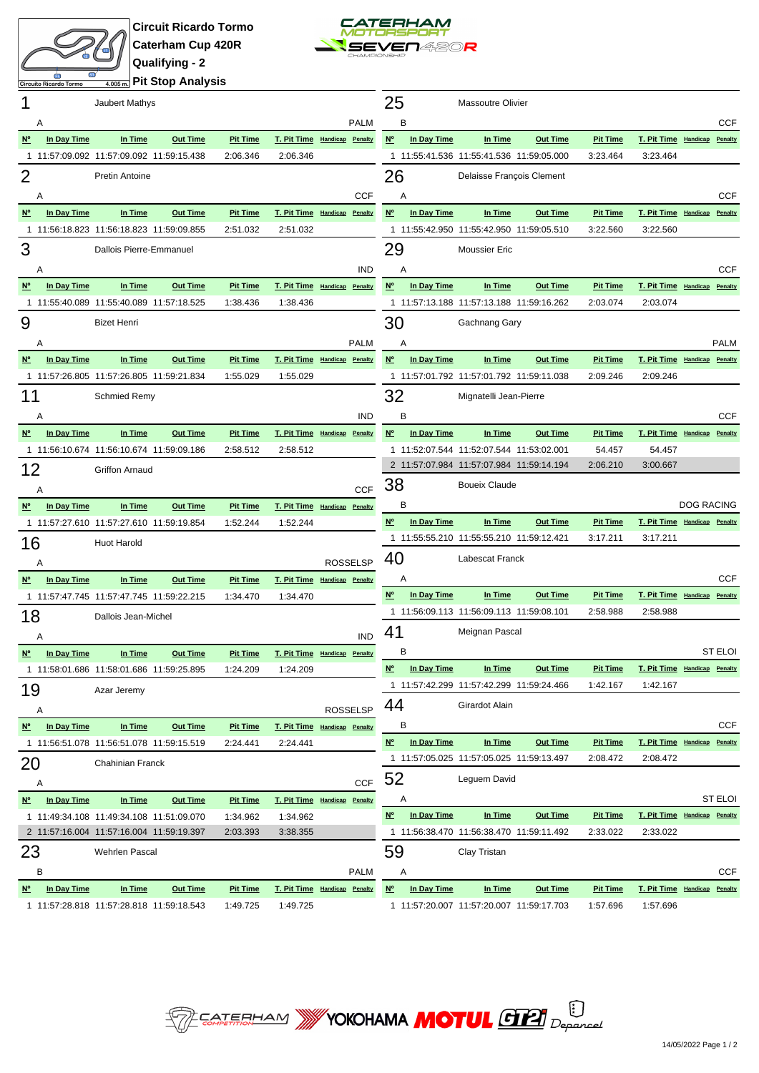



**Pit Stop Analysis**

| 1              |                  | Jaubert Mathys                           |                 |                             |                              |                 | 25               |             | <b>Massoutre Olivier</b>                                                             |                 |                             |                                          |                   |                |
|----------------|------------------|------------------------------------------|-----------------|-----------------------------|------------------------------|-----------------|------------------|-------------|--------------------------------------------------------------------------------------|-----------------|-----------------------------|------------------------------------------|-------------------|----------------|
|                | A                |                                          |                 |                             |                              | <b>PALM</b>     | B                |             |                                                                                      |                 |                             |                                          |                   | <b>CCF</b>     |
| N <sup>o</sup> | In Day Time      | In Time                                  | <b>Out Time</b> | <b>Pit Time</b>             | T. Pit Time Handicap Penalty |                 | $N^{\circ}$      | In Day Time | In Time                                                                              | <b>Out Time</b> | <b>Pit Time</b>             | T. Pit Time Handicap Penalty             |                   |                |
|                |                  | 1 11:57:09.092 11:57:09.092 11:59:15.438 |                 | 2:06.346                    | 2:06.346                     |                 |                  |             | 1 11:55:41.536 11:55:41.536 11:59:05.000                                             |                 | 3:23.464                    | 3:23.464                                 |                   |                |
| 2              |                  | <b>Pretin Antoine</b>                    |                 |                             |                              |                 | 26               |             | Delaisse François Clement                                                            |                 |                             |                                          |                   |                |
|                | Α                |                                          |                 |                             |                              | <b>CCF</b>      | Α                |             |                                                                                      |                 |                             |                                          |                   | CCF            |
| <u>N°</u>      | In Day Time      | In Time                                  | <b>Out Time</b> | <b>Pit Time</b>             | T. Pit Time Handicap Penalty |                 | $N^{\circ}$      | In Day Time | In Time                                                                              | <b>Out Time</b> | <b>Pit Time</b>             | T. Pit Time Handicap Penalty             |                   |                |
|                |                  | 1 11:56:18.823 11:56:18.823 11:59:09.855 |                 | 2:51.032                    | 2:51.032                     |                 |                  |             | 1 11:55:42.950 11:55:42.950 11:59:05.510                                             |                 | 3:22.560                    | 3:22.560                                 |                   |                |
| 3              |                  | Dallois Pierre-Emmanuel                  |                 |                             |                              |                 | 29               |             | <b>Moussier Eric</b>                                                                 |                 |                             |                                          |                   |                |
|                | Α                |                                          |                 |                             |                              | <b>IND</b>      | A                |             |                                                                                      |                 |                             |                                          |                   | <b>CCF</b>     |
| $N^{\circ}$    | In Day Time      | In Time                                  | <b>Out Time</b> | <b>Pit Time</b>             | T. Pit Time Handicap Penalty |                 | $N^{\circ}$      | In Day Time | In Time                                                                              | <b>Out Time</b> | <b>Pit Time</b>             | T. Pit Time Handicap Penalty             |                   |                |
|                |                  | 1 11:55:40.089 11:55:40.089 11:57:18.525 |                 | 1:38.436                    | 1:38.436                     |                 |                  |             | 1 11:57:13.188 11:57:13.188 11:59:16.262                                             |                 | 2:03.074                    | 2:03.074                                 |                   |                |
| 9              |                  | <b>Bizet Henri</b>                       |                 |                             |                              |                 | 30               |             | Gachnang Gary                                                                        |                 |                             |                                          |                   |                |
|                |                  |                                          |                 |                             |                              |                 |                  |             |                                                                                      |                 |                             |                                          |                   |                |
| <u>N°</u>      | Α<br>In Day Time | In Time                                  | <b>Out Time</b> | <b>Pit Time</b>             | T. Pit Time Handicap Penalty | <b>PALM</b>     | Α<br>$N^{\circ}$ | In Day Time | In Time                                                                              | <b>Out Time</b> | <b>Pit Time</b>             | T. Pit Time Handicap Penalty             |                   | <b>PALM</b>    |
|                |                  | 1 11:57:26.805 11:57:26.805 11:59:21.834 |                 | 1:55.029                    | 1:55.029                     |                 |                  |             | 1 11:57:01.792 11:57:01.792 11:59:11.038                                             |                 | 2:09.246                    | 2:09.246                                 |                   |                |
|                |                  |                                          |                 |                             |                              |                 |                  |             | Mignatelli Jean-Pierre                                                               |                 |                             |                                          |                   |                |
| 11             |                  | <b>Schmied Remy</b>                      |                 |                             |                              |                 | 32               |             |                                                                                      |                 |                             |                                          |                   |                |
|                | A                |                                          |                 |                             |                              | <b>IND</b>      | B                |             |                                                                                      |                 |                             |                                          |                   | <b>CCF</b>     |
| <u>N°</u>      | In Day Time      | In Time                                  | <b>Out Time</b> | <b>Pit Time</b><br>2:58.512 | T. Pit Time Handicap Penalty |                 | $N^{\circ}$      | In Day Time | In Time                                                                              | <b>Out Time</b> | <b>Pit Time</b>             | T. Pit Time Handicap Penalty             |                   |                |
|                |                  | 1 11:56:10.674 11:56:10.674 11:59:09.186 |                 |                             | 2:58.512                     |                 |                  |             | 1 11:52:07.544 11:52:07.544 11:53:02.001<br>2 11:57:07.984 11:57:07.984 11:59:14.194 |                 | 54.457<br>2:06.210          | 54.457<br>3:00.667                       |                   |                |
| 12             |                  | Griffon Arnaud                           |                 |                             |                              |                 | 38               |             | <b>Boueix Claude</b>                                                                 |                 |                             |                                          |                   |                |
|                | Α                |                                          |                 |                             |                              | <b>CCF</b>      |                  |             |                                                                                      |                 |                             |                                          |                   |                |
| <u>N°</u>      | In Day Time      | In Time                                  | <b>Out Time</b> | <b>Pit Time</b>             | T. Pit Time Handicap         | Penalty         | B                |             |                                                                                      |                 |                             |                                          | <b>DOG RACING</b> |                |
|                |                  | 1 11:57:27.610 11:57:27.610 11:59:19.854 |                 | 1:52.244                    | 1:52.244                     |                 | $N^{\circ}$      | In Day Time | In Time<br>1 11:55:55.210 11:55:55.210 11:59:12.421                                  | <b>Out Time</b> | <b>Pit Time</b><br>3:17.211 | T. Pit Time Handicap Penalty<br>3:17.211 |                   |                |
| 16             |                  | Huot Harold                              |                 |                             |                              |                 |                  |             |                                                                                      |                 |                             |                                          |                   |                |
|                | A                |                                          |                 |                             |                              | <b>ROSSELSP</b> | 40               |             | Labescat Franck                                                                      |                 |                             |                                          |                   |                |
| <u>N°</u>      | In Day Time      | In Time                                  | <b>Out Time</b> | <b>Pit Time</b>             | T. Pit Time Handicap Penalty |                 | Α                |             |                                                                                      |                 |                             |                                          |                   | CCF            |
|                |                  | 1 11:57:47.745 11:57:47.745 11:59:22.215 |                 | 1:34.470                    | 1:34.470                     |                 | <b>N°</b>        | In Day Time | In Time                                                                              | <b>Out Time</b> | <b>Pit Time</b>             | T. Pit Time Handicap Penalty             |                   |                |
| 18             |                  | Dallois Jean-Michel                      |                 |                             |                              |                 |                  |             | 1 11:56:09.113 11:56:09.113 11:59:08.101                                             |                 | 2:58.988                    | 2:58.988                                 |                   |                |
|                | A                |                                          |                 |                             |                              | <b>IND</b>      | 41               |             | Meignan Pascal                                                                       |                 |                             |                                          |                   |                |
| <b>N°</b>      | In Day Time      | In Time                                  | <b>Out Time</b> | <b>Pit Time</b>             | T. Pit Time Handicap Penalty |                 | в                |             |                                                                                      |                 |                             |                                          |                   | <b>ST ELOI</b> |
|                |                  | 1 11:58:01.686 11:58:01.686 11:59:25.895 |                 | 1:24.209                    | 1:24.209                     |                 | $N^{\circ}$      | In Day Time | <u>In Time</u>                                                                       | <b>Out Time</b> | <b>Pit Time</b>             | T. Pit Time Handicap Penalty             |                   |                |
| 19             |                  | Azar Jeremy                              |                 |                             |                              |                 |                  |             | 1 11:57:42.299 11:57:42.299 11:59:24.466                                             |                 | 1:42.167                    | 1:42.167                                 |                   |                |
|                | Α                |                                          |                 |                             |                              | <b>ROSSELSP</b> | 44               |             | Girardot Alain                                                                       |                 |                             |                                          |                   |                |
| <u>N°</u>      | In Day Time      | In Time                                  | <b>Out Time</b> | <b>Pit Time</b>             | T. Pit Time Handicap Penalty |                 | в                |             |                                                                                      |                 |                             |                                          |                   | CCF            |
|                |                  | 1 11:56:51.078 11:56:51.078 11:59:15.519 |                 | 2:24.441                    | 2:24.441                     |                 | $N^{\circ}$      | In Day Time | In Time                                                                              | <b>Out Time</b> | <b>Pit Time</b>             | T. Pit Time Handicap Penalty             |                   |                |
| 20             |                  | Chahinian Franck                         |                 |                             |                              |                 |                  |             | 1 11:57:05.025 11:57:05.025 11:59:13.497                                             |                 | 2:08.472                    | 2:08.472                                 |                   |                |
|                | A                |                                          |                 |                             |                              | <b>CCF</b>      | 52               |             | Lequem David                                                                         |                 |                             |                                          |                   |                |
| <u>N°</u>      | In Day Time      | In Time                                  | <b>Out Time</b> | <b>Pit Time</b>             | T. Pit Time Handicap Penalty |                 | Α                |             |                                                                                      |                 |                             |                                          |                   | <b>ST ELOI</b> |
|                |                  | 1 11:49:34.108 11:49:34.108 11:51:09.070 |                 | 1:34.962                    | 1:34.962                     |                 | $N^{\circ}$      | In Day Time | In Time                                                                              | <b>Out Time</b> | <b>Pit Time</b>             | T. Pit Time Handicap Penalty             |                   |                |
|                |                  | 2 11:57:16.004 11:57:16.004 11:59:19.397 |                 | 2:03.393                    | 3:38.355                     |                 |                  |             | 1 11:56:38.470 11:56:38.470 11:59:11.492                                             |                 | 2:33.022                    | 2:33.022                                 |                   |                |
| 23             |                  | Wehrlen Pascal                           |                 |                             |                              |                 | 59               |             | Clay Tristan                                                                         |                 |                             |                                          |                   |                |
|                | в                |                                          |                 |                             |                              | <b>PALM</b>     | Α                |             |                                                                                      |                 |                             |                                          |                   | CCF            |
| <u>N°</u>      | In Day Time      | In Time                                  | <b>Out Time</b> | <b>Pit Time</b>             | T. Pit Time Handicap Penalty |                 | $N^{\circ}$      | In Day Time | In Time                                                                              | <b>Out Time</b> | <b>Pit Time</b>             | T. Pit Time Handicap Penalty             |                   |                |
|                |                  | 1 11:57:28.818 11:57:28.818 11:59:18.543 |                 | 1:49.725                    | 1:49.725                     |                 |                  |             | 1 11:57:20.007 11:57:20.007 11:59:17.703                                             |                 | 1:57.696                    | 1:57.696                                 |                   |                |

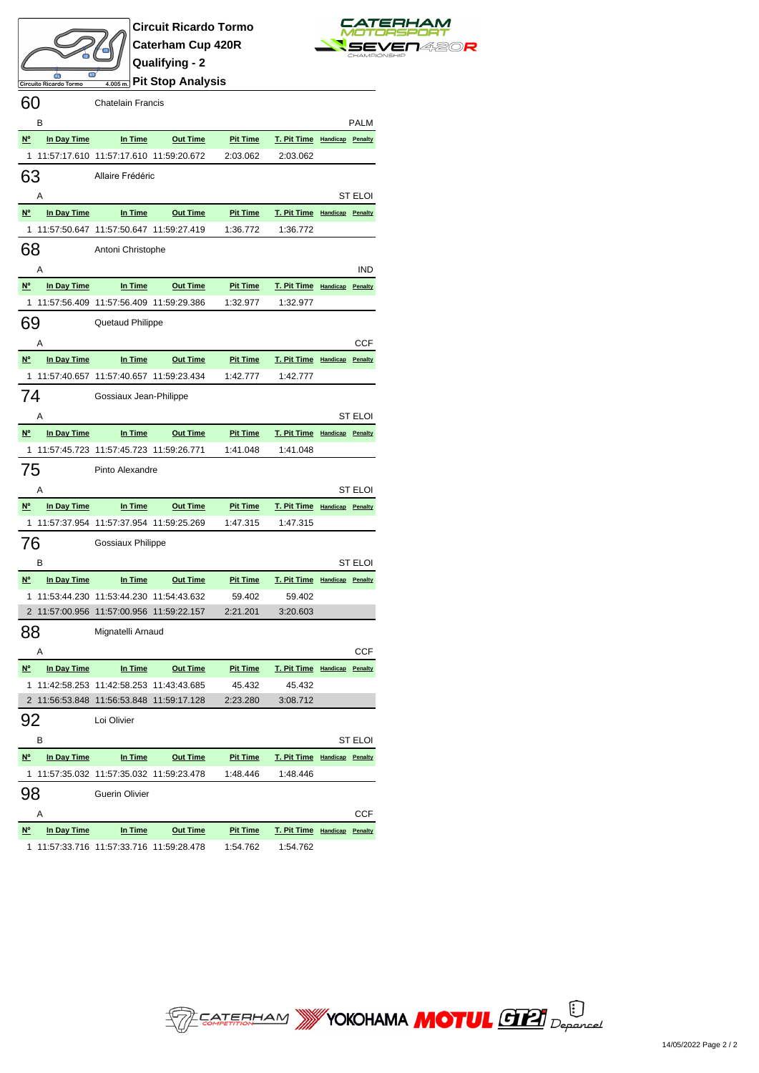



**Pit Stop Analysis**

| 60                |             | <b>Chatelain Francis</b>                 |                 |                 |                              |                |
|-------------------|-------------|------------------------------------------|-----------------|-----------------|------------------------------|----------------|
|                   | в           |                                          |                 |                 |                              | PALM           |
| N <sup>o</sup>    | In Day Time | In Time                                  | <b>Out Time</b> | <u>Pit Time</u> | T. Pit Time Handicap Penalty |                |
| 1                 |             | 11:57:17.610 11:57:17.610 11:59:20.672   |                 | 2:03.062        | 2:03.062                     |                |
| 63                |             | Allaire Frédéric                         |                 |                 |                              |                |
|                   | Α           |                                          |                 |                 |                              | ST ELOI        |
| $N^{\circ}$       | In Day Time | In Time                                  | <b>Out Time</b> | <b>Pit Time</b> | T. Pit Time Handicap Penalty |                |
| $\overline{1}$    |             | 11:57:50.647 11:57:50.647 11:59:27.419   |                 | 1:36.772        | 1:36.772                     |                |
|                   |             |                                          |                 |                 |                              |                |
| 68                |             | Antoni Christophe                        |                 |                 |                              |                |
|                   | Α           |                                          |                 |                 |                              | <b>IND</b>     |
| N <sup>o</sup>    | In Day Time | In Time                                  | <b>Out Time</b> | <b>Pit Time</b> | T. Pit Time Handicap Penalty |                |
| $\mathbf{1}$      |             | 11:57:56.409  11:57:56.409  11:59:29.386 |                 | 1:32.977        | 1:32.977                     |                |
| 69                |             | Quetaud Philippe                         |                 |                 |                              |                |
|                   | A           |                                          |                 |                 |                              | CCF            |
| $\underline{N^o}$ | In Day Time | In Time                                  | <b>Out Time</b> | <b>Pit Time</b> | T. Pit Time Handicap Penalty |                |
| $\mathbf{1}$      |             | 11:57:40.657 11:57:40.657 11:59:23.434   |                 | 1:42.777        | 1:42.777                     |                |
| 74                |             | Gossiaux Jean-Philippe                   |                 |                 |                              |                |
|                   | Α           |                                          |                 |                 |                              | <b>ST ELOI</b> |
| $N^{\circ}$       | In Day Time | In Time                                  | <b>Out Time</b> | <b>Pit Time</b> | T. Pit Time Handicap Penalty |                |
| 1                 |             | 11:57:45.723 11:57:45.723 11:59:26.771   |                 | 1:41.048        | 1:41.048                     |                |
| 75                |             | Pinto Alexandre                          |                 |                 |                              |                |
|                   |             |                                          |                 |                 |                              |                |
|                   |             |                                          |                 |                 |                              |                |
|                   | A           |                                          |                 |                 |                              | ST ELOI        |
| $N^{\circ}$       | In Day Time | In Time                                  | <b>Out Time</b> | <b>Pit Time</b> | T. Pit Time Handicap Penalty |                |
| 1                 |             | 11:57:37.954 11:57:37.954 11:59:25.269   |                 | 1:47.315        | 1:47.315                     |                |
| 76                |             | Gossiaux Philippe                        |                 |                 |                              |                |
|                   | в           |                                          |                 |                 |                              | ST ELOI        |
| $N^{\circ}$       | In Day Time | In Time                                  | <b>Out Time</b> | <b>Pit Time</b> | T. Pit Time Handicap Penalty |                |
|                   |             | 1 11:53:44.230 11:53:44.230 11:54:43.632 |                 | 59.402          | 59.402                       |                |
|                   |             | 2 11:57:00.956 11:57:00.956 11:59:22.157 |                 | 2:21.201        | 3:20.603                     |                |
|                   |             | Mignatelli Arnaud                        |                 |                 |                              |                |
|                   | Α           |                                          |                 |                 |                              | CCF            |
| $N^{\circ}$       | In Day Time | <u>In Time</u>                           | <b>Out Time</b> | <b>Pit Time</b> | T. Pit Time Handicap Penalty |                |
| 1                 |             | 11:42:58.253 11:42:58.253 11:43:43.685   |                 | 45.432          | 45.432                       |                |
| 88                |             | 2 11:56:53.848 11:56:53.848 11:59:17.128 |                 | 2:23.280        | 3:08.712                     |                |
| 92                |             | Loi Olivier                              |                 |                 |                              |                |
|                   | в           |                                          |                 |                 |                              | ST ELOI        |
| N°                | In Day Time | In Time                                  | <b>Out Time</b> | <b>Pit Time</b> | T. Pit Time Handicap         | Penalty        |
| 1                 |             | 11:57:35.032 11:57:35.032 11:59:23.478   |                 | 1:48.446        | 1:48.446                     |                |
| 98                |             | Guerin Olivier                           |                 |                 |                              |                |
|                   | Α           |                                          |                 |                 |                              | CCF            |
| $N$               | In Day Time | In Time                                  | <b>Out Time</b> | <b>Pit Time</b> | <b>T. Pit Time</b> Handicap  | Penalty        |

**SEP EATERHAM WY YOKOHAMA MOTUL GTEL** Deparced